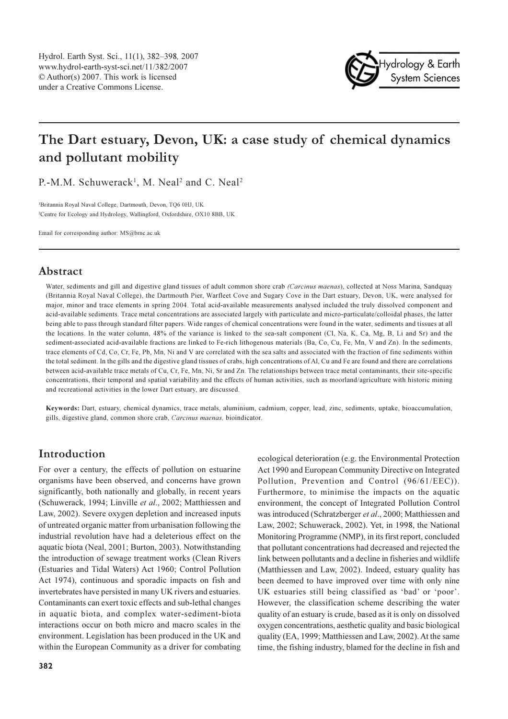

# The Dart estuary, Devon, UK: a case study of chemical dynamics and pollutant mobility

P.-M.M. Schuwerack<sup>1</sup>, M. Neal<sup>2</sup> and C. Neal<sup>2</sup>

<sup>1</sup>Britannia Royal Naval College, Dartmouth, Devon, TQ6 0HJ, UK <sup>2</sup>Centre for Ecology and Hydrology, Wallingford, Oxfordshire, OX10 8BB, UK

Email for corresponding author: MS@brnc.ac.uk

## Abstract

Water, sediments and gill and digestive gland tissues of adult common shore crab (Carcinus maenas), collected at Noss Marina, Sandquay (Britannia Royal Naval College), the Dartmouth Pier, Warfleet Cove and Sugary Cove in the Dart estuary, Devon, UK, were analysed for major, minor and trace elements in spring 2004. Total acid-available measurements analysed included the truly dissolved component and acid-available sediments. Trace metal concentrations are associated largely with particulate and micro-particulate/colloidal phases, the latter being able to pass through standard filter papers. Wide ranges of chemical concentrations were found in the water, sediments and tissues at all the locations. In the water column, 48% of the variance is linked to the sea-salt component (Cl, Na, K, Ca, Mg, B, Li and Sr) and the sediment-associated acid-available fractions are linked to Fe-rich lithogenous materials (Ba, Co, Cu, Fe, Mn, V and Zn). In the sediments, trace elements of Cd, Co, Cr, Fe, Pb, Mn, Ni and V are correlated with the sea salts and associated with the fraction of fine sediments within the total sediment. In the gills and the digestive gland tissues of crabs, high concentrations of Al, Cu and Fe are found and there are correlations between acid-available trace metals of Cu, Cr, Fe, Mn, Ni, Sr and Zn. The relationships between trace metal contaminants, their site-specific concentrations, their temporal and spatial variability and the effects of human activities, such as moorland/agriculture with historic mining and recreational activities in the lower Dart estuary, are discussed.

Keywords: Dart, estuary, chemical dynamics, trace metals, aluminium, cadmium, copper, lead, zinc, sediments, uptake, bioaccumulation, gills, digestive gland, common shore crab. *Carcinus maenas*, bioindicator,

# Introduction

For over a century, the effects of pollution on estuarine organisms have been observed, and concerns have grown significantly, both nationally and globally, in recent years (Schuwerack, 1994; Linville et al., 2002; Matthiessen and Law, 2002). Severe oxygen depletion and increased inputs of untreated organic matter from urbanisation following the industrial revolution have had a deleterious effect on the aquatic biota (Neal, 2001; Burton, 2003). Notwithstanding the introduction of sewage treatment works (Clean Rivers (Estuaries and Tidal Waters) Act 1960; Control Pollution Act 1974), continuous and sporadic impacts on fish and invertebrates have persisted in many UK rivers and estuaries. Contaminants can exert toxic effects and sub-lethal changes in aquatic biota, and complex water-sediment-biota interactions occur on both micro and macro scales in the environment. Legislation has been produced in the UK and within the European Community as a driver for combating

ecological deterioration (e.g. the Environmental Protection Act 1990 and European Community Directive on Integrated Pollution, Prevention and Control (96/61/EEC)). Furthermore, to minimise the impacts on the aquatic environment, the concept of Integrated Pollution Control was introduced (Schratzberger et al., 2000; Matthiessen and Law, 2002; Schuwerack, 2002). Yet, in 1998, the National Monitoring Programme (NMP), in its first report, concluded that pollutant concentrations had decreased and rejected the link between pollutants and a decline in fisheries and wildlife (Matthiessen and Law, 2002). Indeed, estuary quality has been deemed to have improved over time with only nine UK estuaries still being classified as 'bad' or 'poor'. However, the classification scheme describing the water quality of an estuary is crude, based as it is only on dissolved oxygen concentrations, aesthetic quality and basic biological quality (EA, 1999; Matthiessen and Law, 2002). At the same time, the fishing industry, blamed for the decline in fish and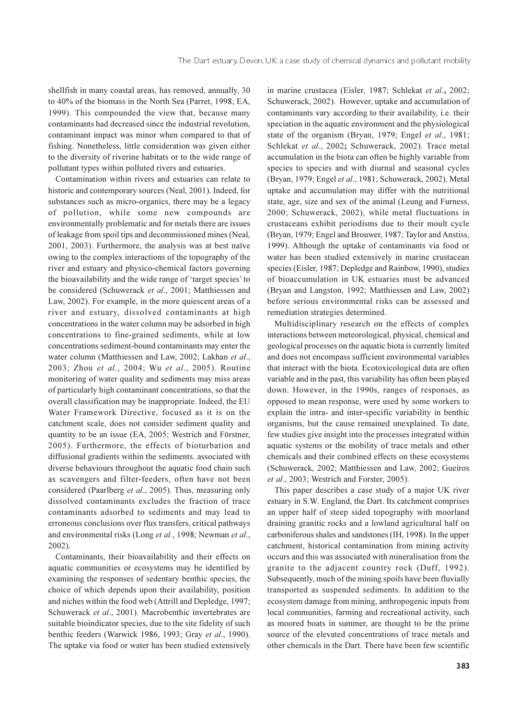shellfish in many coastal areas, has removed, annually, 30 to 40% of the biomass in the North Sea (Parret, 1998; EA, 1999). This compounded the view that, because many contaminants had decreased since the industrial revolution, contaminant impact was minor when compared to that of fishing. Nonetheless, little consideration was given either to the diversity of riverine habitats or to the wide range of pollutant types within polluted rivers and estuaries.

Contamination within rivers and estuaries can relate to historic and contemporary sources (Neal, 2001). Indeed, for substances such as micro-organics, there may be a legacy of pollution, while some new compounds are environmentally problematic and for metals there are issues of leakage from spoil tips and decommissioned mines (Neal, 2001, 2003). Furthermore, the analysis was at best naïve owing to the complex interactions of the topography of the river and estuary and physico-chemical factors governing the bioavailability and the wide range of 'target species' to be considered (Schuwerack et al., 2001; Matthiessen and Law, 2002). For example, in the more quiescent areas of a river and estuary, dissolved contaminants at high concentrations in the water column may be adsorbed in high concentrations to fine-grained sediments, while at low concentrations sediment-bound contaminants may enter the water column (Matthiessen and Law, 2002; Lakhan et al., 2003; Zhou et al., 2004; Wu et al., 2005). Routine monitoring of water quality and sediments may miss areas of particularly high contaminant concentrations, so that the overall classification may be inappropriate. Indeed, the EU Water Framework Directive, focused as it is on the catchment scale, does not consider sediment quality and quantity to be an issue (EA, 2005; Westrich and Förstner, 2005). Furthermore, the effects of bioturbation and diffusional gradients within the sediments, associated with diverse behaviours throughout the aquatic food chain such as scavengers and filter-feeders, often have not been considered (Paarlberg et al., 2005). Thus, measuring only dissolved contaminants excludes the fraction of trace contaminants adsorbed to sediments and may lead to erroneous conclusions over flux transfers, critical pathways and environmental risks (Long et al., 1998; Newman et al.,  $2002$ ).

Contaminants, their bioavailability and their effects on aquatic communities or ecosystems may be identified by examining the responses of sedentary benthic species, the choice of which depends upon their availability, position and niches within the food web (Attrill and Depledge, 1997; Schuwerack et al., 2001). Macrobenthic invertebrates are suitable bioindicator species, due to the site fidelity of such benthic feeders (Warwick 1986, 1993; Gray et al., 1990). The uptake via food or water has been studied extensively

in marine crustacea (Eisler, 1987; Schlekat et al., 2002; Schuwerack, 2002). However, uptake and accumulation of contaminants vary according to their availability, i.e. their speciation in the aquatic environment and the physiological state of the organism (Bryan, 1979; Engel et al., 1981; Schlekat et al., 2002; Schuwerack, 2002). Trace metal accumulation in the biota can often be highly variable from species to species and with diurnal and seasonal cycles (Bryan, 1979; Engel et al., 1981; Schuwerack, 2002). Metal uptake and accumulation may differ with the nutritional state, age, size and sex of the animal (Leung and Furness, 2000; Schuwerack, 2002), while metal fluctuations in crustaceans exhibit periodisms due to their moult cycle (Bryan, 1979; Engel and Brouwer, 1987; Taylor and Anstiss, 1999). Although the uptake of contaminants via food or water has been studied extensively in marine crustacean species (Eisler, 1987; Depledge and Rainbow, 1990), studies of bioaccumulation in UK estuaries must be advanced (Bryan and Langston, 1992; Matthiessen and Law, 2002) before serious environmental risks can be assessed and remediation strategies determined.

Multidisciplinary research on the effects of complex interactions between meteorological, physical, chemical and geological processes on the aquatic biota is currently limited and does not encompass sufficient environmental variables that interact with the biota. Ecotoxicological data are often variable and in the past, this variability has often been played down. However, in the 1990s, ranges of responses, as opposed to mean response, were used by some workers to explain the intra- and inter-specific variability in benthic organisms, but the cause remained unexplained. To date, few studies give insight into the processes integrated within aquatic systems or the mobility of trace metals and other chemicals and their combined effects on these ecosystems (Schuwerack, 2002; Matthiessen and Law, 2002; Gueiros et al., 2003; Westrich and Forster, 2005).

This paper describes a case study of a major UK river estuary in S.W. England, the Dart. Its catchment comprises an upper half of steep sided topography with moorland draining granitic rocks and a lowland agricultural half on carboniferous shales and sandstones (IH, 1998). In the upper catchment, historical contamination from mining activity occurs and this was associated with mineralisation from the granite to the adiacent country rock (Duff, 1992). Subsequently, much of the mining spoils have been fluvially transported as suspended sediments. In addition to the ecosystem damage from mining, anthropogenic inputs from local communities, farming and recreational activity, such as moored boats in summer, are thought to be the prime source of the elevated concentrations of trace metals and other chemicals in the Dart. There have been few scientific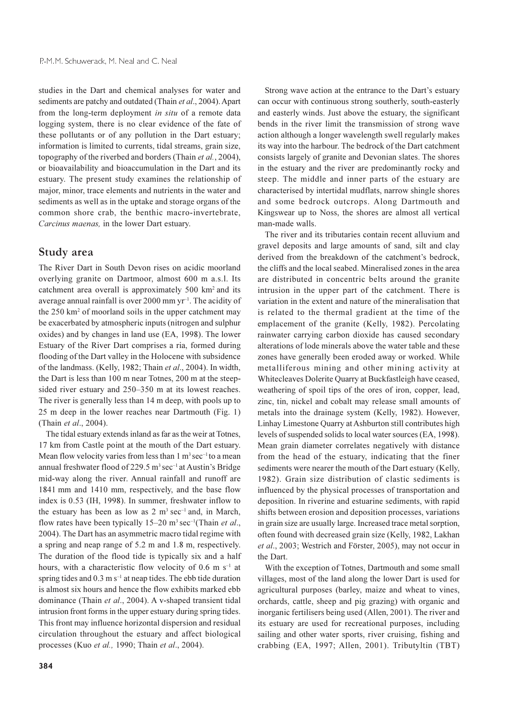studies in the Dart and chemical analyses for water and sediments are patchy and outdated (Thain et al., 2004). Apart from the long-term deployment in situ of a remote data logging system, there is no clear evidence of the fate of these pollutants or of any pollution in the Dart estuary; information is limited to currents, tidal streams, grain size, topography of the riverbed and borders (Thain et al., 2004), or bioavailability and bioaccumulation in the Dart and its estuary. The present study examines the relationship of major, minor, trace elements and nutrients in the water and sediments as well as in the uptake and storage organs of the common shore crab, the benthic macro-invertebrate, Carcinus maenas, in the lower Dart estuary.

# Study area

The River Dart in South Devon rises on acidic moorland overlying granite on Dartmoor, almost 600 m a.s.l. Its catchment area overall is approximately 500 km<sup>2</sup> and its average annual rainfall is over 2000 mm  $yr^{-1}$ . The acidity of the 250 km<sup>2</sup> of moorland soils in the upper catchment may be exacerbated by atmospheric inputs (nitrogen and sulphur oxides) and by changes in land use (EA, 1998). The lower Estuary of the River Dart comprises a ria, formed during flooding of the Dart valley in the Holocene with subsidence of the landmass. (Kelly, 1982; Thain et al., 2004). In width, the Dart is less than 100 m near Totnes, 200 m at the steepsided river estuary and 250–350 m at its lowest reaches. The river is generally less than 14 m deep, with pools up to 25 m deep in the lower reaches near Dartmouth (Fig. 1) (Thain et al., 2004).

The tidal estuary extends inland as far as the weir at Totnes, 17 km from Castle point at the mouth of the Dart estuary. Mean flow velocity varies from less than  $1 \text{ m}^3 \text{ sec}^{-1}$  to a mean annual freshwater flood of 229.5 m<sup>3</sup> sec<sup>-1</sup> at Austin's Bridge mid-way along the river. Annual rainfall and runoff are 1841 mm and 1410 mm, respectively, and the base flow index is 0.53 (IH, 1998). In summer, freshwater inflow to the estuary has been as low as  $2 \text{ m}^3 \text{ sec}^{-1}$  and, in March, flow rates have been typically  $15-20$  m<sup>3</sup> sec<sup>-1</sup>(Thain *et al.*, 2004). The Dart has an asymmetric macro tidal regime with a spring and neap range of 5.2 m and 1.8 m, respectively. The duration of the flood tide is typically six and a half hours, with a characteristic flow velocity of 0.6 m  $s^{-1}$  at spring tides and  $0.3 \text{ m s}^{-1}$  at neap tides. The ebb tide duration is almost six hours and hence the flow exhibits marked ebb dominance (Thain et al., 2004). A v-shaped transient tidal intrusion front forms in the upper estuary during spring tides. This front may influence horizontal dispersion and residual circulation throughout the estuary and affect biological processes (Kuo et al., 1990; Thain et al., 2004).

384

Strong wave action at the entrance to the Dart's estuary can occur with continuous strong southerly, south-easterly and easterly winds. Just above the estuary, the significant bends in the river limit the transmission of strong wave action although a longer wavelength swell regularly makes its way into the harbour. The bedrock of the Dart catchment consists largely of granite and Devonian slates. The shores in the estuary and the river are predominantly rocky and steep. The middle and inner parts of the estuary are characterised by intertidal mudflats, narrow shingle shores and some bedrock outcrops. Along Dartmouth and Kingswear up to Noss, the shores are almost all vertical man-made walls.

The river and its tributaries contain recent alluvium and gravel deposits and large amounts of sand, silt and clay derived from the breakdown of the catchment's bedrock, the cliffs and the local seabed. Mineralised zones in the area are distributed in concentric belts around the granite intrusion in the upper part of the catchment. There is variation in the extent and nature of the mineralisation that is related to the thermal gradient at the time of the emplacement of the granite (Kelly, 1982). Percolating rainwater carrying carbon dioxide has caused secondary alterations of lode minerals above the water table and these zones have generally been eroded away or worked. While metalliferous mining and other mining activity at Whitecleaves Dolerite Quarry at Buckfastleigh have ceased, weathering of spoil tips of the ores of iron, copper, lead, zinc, tin, nickel and cobalt may release small amounts of metals into the drainage system (Kelly, 1982). However, Linhay Limestone Quarry at Ashburton still contributes high levels of suspended solids to local water sources (EA, 1998). Mean grain diameter correlates negatively with distance from the head of the estuary, indicating that the finer sediments were nearer the mouth of the Dart estuary (Kelly, 1982). Grain size distribution of clastic sediments is influenced by the physical processes of transportation and deposition. In riverine and estuarine sediments, with rapid shifts between erosion and deposition processes, variations in grain size are usually large. Increased trace metal sorption, often found with decreased grain size (Kelly, 1982, Lakhan et al., 2003; Westrich and Förster, 2005), may not occur in the Dart.

With the exception of Totnes, Dartmouth and some small villages, most of the land along the lower Dart is used for agricultural purposes (barley, maize and wheat to vines, orchards, cattle, sheep and pig grazing) with organic and inorganic fertilisers being used (Allen, 2001). The river and its estuary are used for recreational purposes, including sailing and other water sports, river cruising, fishing and crabbing (EA, 1997; Allen, 2001). Tributyltin (TBT)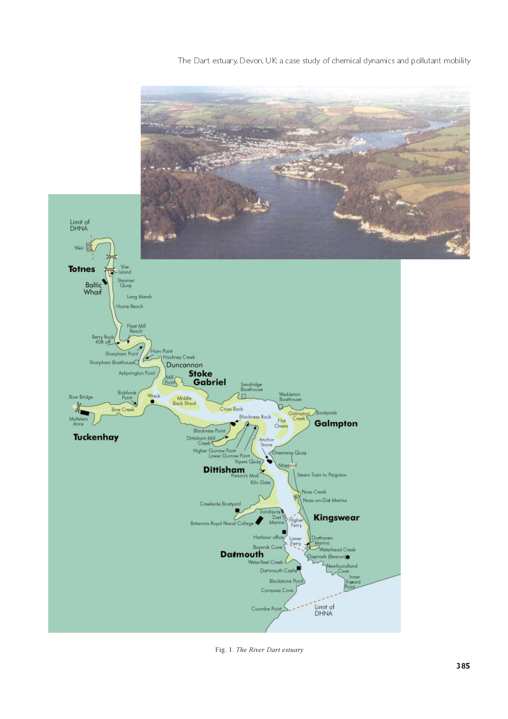The Dart estuary, Devon, UK: a case study of chemical dynamics and pollutant mobility



Fig. 1. The River Dart estuary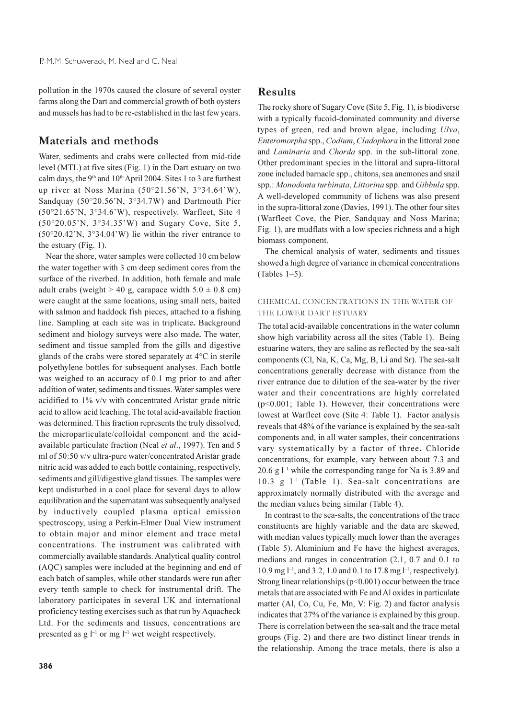pollution in the 1970s caused the closure of several oyster farms along the Dart and commercial growth of both oysters and mussels has had to be re-established in the last few years.

# Materials and methods

Water, sediments and crabs were collected from mid-tide level (MTL) at five sites (Fig. 1) in the Dart estuary on two calm days, the 9<sup>th</sup> and 10<sup>th</sup> April 2004. Sites 1 to 3 are furthest up river at Noss Marina (50°21.56'N, 3°34.64'W), Sandquay (50°20.56'N, 3°34.7W) and Dartmouth Pier  $(50^{\circ}21.65^{\circ}N, 3^{\circ}34.6^{\circ}W)$ , respectively. Warfleet, Site 4 (50°20.05'N, 3°34.35'W) and Sugary Cove, Site 5,  $(50^{\circ}20.42^{\prime}N, 3^{\circ}34.04^{\prime}W)$  lie within the river entrance to the estuary (Fig. 1).

Near the shore, water samples were collected 10 cm below the water together with 3 cm deep sediment cores from the surface of the riverbed. In addition, both female and male adult crabs (weight  $> 40$  g, carapace width  $5.0 \pm 0.8$  cm) were caught at the same locations, using small nets, baited with salmon and haddock fish pieces, attached to a fishing line. Sampling at each site was in triplicate. Background sediment and biology surveys were also made. The water, sediment and tissue sampled from the gills and digestive glands of the crabs were stored separately at  $4^{\circ}$ C in sterile polyethylene bottles for subsequent analyses. Each bottle was weighed to an accuracy of 0.1 mg prior to and after addition of water, sediments and tissues. Water samples were acidified to 1% v/v with concentrated Aristar grade nitric acid to allow acid leaching. The total acid-available fraction was determined. This fraction represents the truly dissolved, the microparticulate/colloidal component and the acidavailable particulate fraction (Neal et al., 1997). Ten and 5 ml of 50:50 v/v ultra-pure water/concentrated Aristar grade nitric acid was added to each bottle containing, respectively, sediments and gill/digestive gland tissues. The samples were kept undisturbed in a cool place for several days to allow equilibration and the supernatant was subsequently analysed by inductively coupled plasma optical emission spectroscopy, using a Perkin-Elmer Dual View instrument to obtain major and minor element and trace metal concentrations. The instrument was calibrated with commercially available standards. Analytical quality control (AQC) samples were included at the beginning and end of each batch of samples, while other standards were run after every tenth sample to check for instrumental drift. The laboratory participates in several UK and international proficiency testing exercises such as that run by Aquacheck Ltd. For the sediments and tissues, concentrations are presented as  $g l^{-1}$  or mg  $l^{-1}$  wet weight respectively.

# **Results**

The rocky shore of Sugary Cove (Site 5, Fig. 1), is biodiverse with a typically fucoid-dominated community and diverse types of green, red and brown algae, including Ulva, Enteromorpha spp., Codium, Cladophora in the littoral zone and Laminaria and Chorda spp. in the sub-littoral zone. Other predominant species in the littoral and supra-littoral zone included barnacle spp., chitons, sea anemones and snail spp.: Monodonta turbinata, Littorina spp. and Gibbula spp. A well-developed community of lichens was also present in the supra-littoral zone (Davies, 1991). The other four sites (Warfleet Cove, the Pier, Sandquay and Noss Marina; Fig. 1), are mudflats with a low species richness and a high biomass component.

The chemical analysis of water, sediments and tissues showed a high degree of variance in chemical concentrations (Tables  $1-5$ ).

#### CHEMICAL CONCENTRATIONS IN THE WATER OF THE LOWER DART ESTUARY

The total acid-available concentrations in the water column show high variability across all the sites (Table 1). Being estuarine waters, they are saline as reflected by the sea-salt components (Cl, Na, K, Ca, Mg, B, Li and Sr). The sea-salt concentrations generally decrease with distance from the river entrance due to dilution of the sea-water by the river water and their concentrations are highly correlated  $(p<0.001$ ; Table 1). However, their concentrations were lowest at Warfleet cove (Site 4: Table 1). Factor analysis reveals that 48% of the variance is explained by the sea-salt components and, in all water samples, their concentrations vary systematically by a factor of three. Chloride concentrations, for example, vary between about 7.3 and 20.6 g  $l^{-1}$  while the corresponding range for Na is 3.89 and 10.3  $g$   $l^{-1}$  (Table 1). Sea-salt concentrations are approximately normally distributed with the average and the median values being similar (Table 4).

In contrast to the sea-salts, the concentrations of the trace constituents are highly variable and the data are skewed, with median values typically much lower than the averages (Table 5). Aluminium and Fe have the highest averages, medians and ranges in concentration  $(2.1, 0.7, 0.1, 0.1)$ 10.9 mg  $l^{-1}$ , and 3.2, 1.0 and 0.1 to 17.8 mg  $l^{-1}$ , respectively). Strong linear relationships ( $p<0.001$ ) occur between the trace metals that are associated with Fe and Al oxides in particulate matter (Al, Co, Cu, Fe, Mn, V: Fig. 2) and factor analysis indicates that 27% of the variance is explained by this group. There is correlation between the sea-salt and the trace metal groups (Fig. 2) and there are two distinct linear trends in the relationship. Among the trace metals, there is also a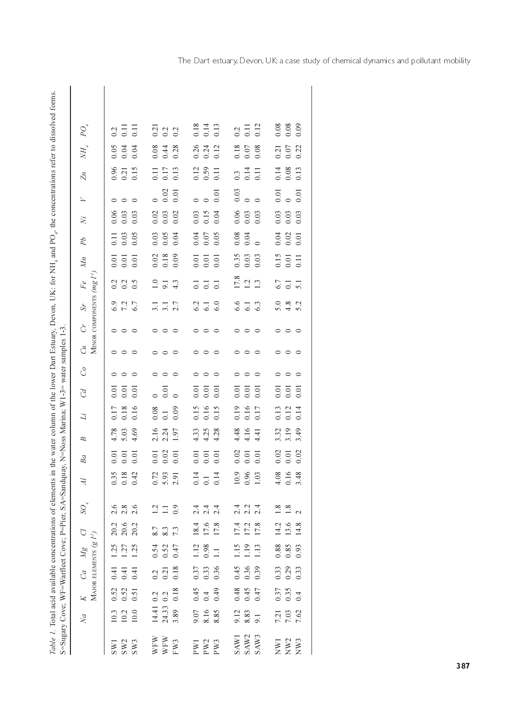| $\overline{\phantom{a}}$<br>$\mathcal{L}_{\mathcal{A}}$<br>$\frac{1}{2}$<br>$\overline{a}$<br>l<br>I<br>$\frac{1}{2}$<br>$\frac{1}{2} = \frac{1}{2}$<br>I<br>ICS NINHO<br>j<br>į<br>l<br>š<br>こく<br>$\sim$ $\sim$ $\sim$ $\sim$ $\sim$ $\sim$ $\sim$ $\sim$<br>Ī<br>i<br>$\overline{a}$<br>I<br>ļ<br>ί |   |
|--------------------------------------------------------------------------------------------------------------------------------------------------------------------------------------------------------------------------------------------------------------------------------------------------------|---|
|                                                                                                                                                                                                                                                                                                        |   |
|                                                                                                                                                                                                                                                                                                        |   |
|                                                                                                                                                                                                                                                                                                        |   |
|                                                                                                                                                                                                                                                                                                        |   |
|                                                                                                                                                                                                                                                                                                        |   |
|                                                                                                                                                                                                                                                                                                        |   |
|                                                                                                                                                                                                                                                                                                        |   |
|                                                                                                                                                                                                                                                                                                        |   |
|                                                                                                                                                                                                                                                                                                        |   |
| š<br>j<br>ĺ<br>I                                                                                                                                                                                                                                                                                       | j |

| ${\cal PO}_4$                                   | $\frac{2}{0.11}$                                    | ี<br>0.2<br>0.2                                                       |                        |                                                    | $0.18$<br>0.13<br>0.13                                               |                                                     |                | $\frac{0.2}{0.12}$                                  |                                                     |                                                     | 8<br>0.08<br>0.0                                         |                   |
|-------------------------------------------------|-----------------------------------------------------|-----------------------------------------------------------------------|------------------------|----------------------------------------------------|----------------------------------------------------------------------|-----------------------------------------------------|----------------|-----------------------------------------------------|-----------------------------------------------------|-----------------------------------------------------|----------------------------------------------------------|-------------------|
| $N\!H$ <sub>4</sub>                             | $0.04$<br>0.04                                      | 0.08                                                                  | $0.44$<br>$0.28$       |                                                    | $0.26$<br>$0.24$<br>$0.12$                                           |                                                     |                | 0.18<br>0.07<br>0.08                                |                                                     |                                                     | $\begin{array}{c} 0.21 \\ 0.07 \\ 0.22 \end{array}$      |                   |
| $\mathbb{Z}^n$                                  | $\begin{array}{c} 0.96 \\ 0.21 \\ 0.15 \end{array}$ | 0.11<br>0.17<br>0.13                                                  |                        |                                                    | $\begin{array}{c} 0.12 \\ 0.59 \\ 0.11 \end{array}$                  |                                                     |                | $0.3$<br>$0.14$<br>$0.11$                           |                                                     |                                                     | $\begin{array}{c} 14 \\ 0.03 \\ 0.13 \end{array}$        |                   |
| $\overline{A}$                                  |                                                     | 0.02                                                                  | 0.01                   |                                                    |                                                                      | 0.01                                                |                | $\frac{3}{2}$                                       |                                                     |                                                     | $\frac{5}{3}$ order                                      |                   |
| $\ddot{\lambda}$                                | $\begin{array}{c} 0.06 \\ 0.03 \\ 0.03 \end{array}$ | $\begin{array}{c} 0.02 \\ 0.03 \\ 0.02 \end{array}$                   |                        |                                                    | $0.03$<br>$0.15$<br>$0.04$                                           |                                                     |                | $\begin{array}{c} 0.06 \\ 0.03 \\ 0.03 \end{array}$ |                                                     |                                                     | $\begin{array}{c} 0.03 \\ 0.03 \\ 0.03 \end{array}$      |                   |
| Pb                                              | 0.11<br>0.03<br>0.05                                | $0.03$<br>0.05                                                        | 0.04                   |                                                    | 0.05<br>0.07<br>0.05                                                 |                                                     |                | $0.08$<br>0.04                                      | $\overline{a}$                                      |                                                     | $0.07$<br>0.00                                           |                   |
| Mn                                              | 0.01<br>0.01<br>0.01                                | $\begin{array}{c} 0.02 \\ 0.18 \\ 0.09 \end{array}$                   |                        |                                                    | $\frac{0}{0.01}$                                                     |                                                     |                | $\begin{array}{c} 0.35 \\ 0.03 \\ 0.03 \end{array}$ |                                                     |                                                     | $\begin{array}{c} 1.5 \\ 0.01 \\ 0.01 \end{array}$       |                   |
| $Fe$                                            | $0.2$<br>$0.3$<br>$0.5$                             | $-9.1$<br>$-4.3$                                                      |                        |                                                    | $\begin{array}{c} 1 \\ 0 \\ 1 \end{array}$                           |                                                     |                | $\frac{17.8}{1.3}$                                  |                                                     |                                                     | $6.7$<br>$0.1$<br>$5.1$                                  |                   |
| MINOR COMPONENTS $(mg l^{-1})$<br>$\mathcal{S}$ | 6.3<br>7.2<br>6.7                                   | $3.1$<br>$3.1$<br>$2.7$                                               |                        |                                                    | $6.3$<br>$6.3$                                                       |                                                     |                | $6.6$<br>$6.1$<br>$6.3$                             |                                                     |                                                     | $5.\overline{9}$<br>$4.\overline{9}$<br>$5.\overline{2}$ |                   |
| Ò                                               | $\circ$                                             |                                                                       |                        |                                                    | $\circ$                                                              | $\circ$                                             |                | $\circ$                                             | $\circ$                                             |                                                     |                                                          | $\circ$           |
| $\tilde{C}u$                                    |                                                     |                                                                       |                        |                                                    |                                                                      | $\circ$                                             |                |                                                     | $\circ$                                             |                                                     |                                                          | $\circ$           |
| $\mathcal{C}^o$                                 |                                                     |                                                                       |                        |                                                    | $\circ$                                                              | $\circ$                                             |                |                                                     | $\circ$                                             |                                                     |                                                          |                   |
| $\mathcal{C}d$                                  | $\begin{array}{c} 0.01 \\ 0.01 \end{array}$         | $\frac{1}{6}$                                                         |                        |                                                    | 5.0<br>0.01<br>0.0                                                   |                                                     |                | 5.0<br>0.01<br>0.0                                  |                                                     |                                                     | ㅎㅎㅎ<br>ㅎㅎㅎ                                               |                   |
| $\ddot{u}$                                      | 0.16<br>$0.17$<br>0.18                              | $0.08$<br>0.10<br>0.09                                                |                        |                                                    | $0.15$<br>$0.16$<br>$0.15$                                           |                                                     | 0.19           | 0.16                                                | 0.17                                                |                                                     | $\begin{array}{c} 0.13 \\ 0.14 \end{array}$              |                   |
| B                                               | 4.69<br>4.78<br>5.03                                | $2.16$<br>$2.24$                                                      | <b>L6</b> <sup>1</sup> |                                                    | $3, 3, 28$<br>$4, 4, 28$                                             |                                                     |                | 4.46<br>4.41<br>4.4                                 |                                                     |                                                     | 3.32<br>3.19<br>3.49                                     |                   |
| Ba                                              | 0.01<br>0.01<br>0.01                                | $\begin{array}{c} 0.01 \\ 0.02 \end{array}$                           | 0.01                   |                                                    | 0.01                                                                 | 0.01                                                | 0.02           | 0.01                                                | 0.01                                                |                                                     | $0.02$<br>$0.01$<br>$0.02$                               |                   |
| $\tilde{H}$                                     | $0.35$<br>$0.18$<br>$0.42$                          | $0.72$<br>5.93<br>2.91                                                |                        |                                                    |                                                                      | $0.14$<br>$0.1$<br>$0.14$                           |                |                                                     | $\begin{array}{c} 10.9 \\ 0.96 \\ 1.03 \end{array}$ |                                                     | $4.08$<br>0.16<br>3.48                                   |                   |
| $SO_{_{\cal I}}$                                | $2.800$<br>$2.800$                                  | $1.1$ 0.9                                                             |                        |                                                    | $\begin{array}{ccc} 4 & 4 & 4 \\ 2 & 1 & 1 \\ 1 & 1 & 1 \end{array}$ |                                                     |                | 2 2 2<br>2 3 2 2                                    |                                                     |                                                     | $\begin{array}{c} 1.8 \\ 1.8 \end{array}$                |                   |
| $\tilde{C}$                                     | $20.2$<br>$20.6$<br>$20.2$                          | 8.3<br>8.3<br>7.3                                                     |                        |                                                    | $18.4$<br>17.6<br>17.8                                               |                                                     |                | $17.4$<br>$17.2$<br>$17.8$                          |                                                     |                                                     | $14.2$<br>$13.6$<br>$14.8$                               |                   |
|                                                 | $1.25$<br>$1.27$<br>$1.25$                          | $0.54$<br>$0.52$<br>$0.47$                                            |                        | $\begin{array}{c} 1.12 \\ 0.98 \\ 1.1 \end{array}$ |                                                                      |                                                     |                | $\frac{1.15}{1.13}$                                 |                                                     | $0.88$<br>$0.85$<br>$0.93$                          |                                                          |                   |
| MAJOR ELEMENTS $(g l-1)$<br>$Ca$ $Mg$           | $0.41$<br>$0.41$                                    | $\begin{array}{c} 0.2 \\ 0.21 \\ 0.18 \end{array}$                    |                        |                                                    |                                                                      | $\begin{array}{c} 0.37 \\ 0.33 \\ 0.36 \end{array}$ |                |                                                     | $0.45$<br>$0.36$<br>$0.39$                          | $\begin{array}{c} 0.33 \\ 0.29 \\ 0.33 \end{array}$ |                                                          |                   |
|                                                 | $\begin{array}{c} 0.52 \\ 0.51 \\ 0.51 \end{array}$ | $\begin{array}{c} 0.2 \\ 0.2 \\ 0.18 \end{array}$                     |                        | $0.45$<br>$0.4$<br>$0.49$                          |                                                                      |                                                     | $0.48$<br>0.45 |                                                     |                                                     |                                                     | $\begin{array}{c} 0.37 \\ 0.35 \\ 0.4 \end{array}$       |                   |
| $\overline{Na}$                                 | $\begin{array}{c} 10.3 \\ 10.2 \\ 10.0 \end{array}$ | $14.41$<br>24.33<br>3.89                                              |                        |                                                    |                                                                      | 9.07<br>8.16<br>8.85                                |                | $9.12$<br>8.83<br>9.1                               |                                                     |                                                     | $7.21$<br>$7.03$<br>$7.62$                               |                   |
|                                                 | $\frac{SW2}{SW3}$<br><b>IMS</b>                     | $\begin{array}{c} \hbox{WFW} \\ \hbox{WFW} \\ \hbox{FW3} \end{array}$ |                        |                                                    |                                                                      | PW1<br>PW2<br>PW3                                   |                |                                                     | SAW1<br>SAW2<br>SAW3                                |                                                     |                                                          | NW1<br>NW2<br>NW3 |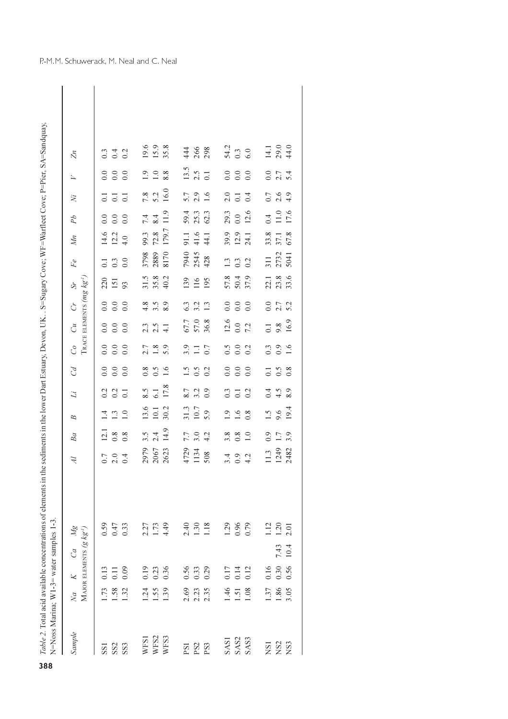| l<br>l                |                                                                                                                                                                                                                                                                                                                                                                                                                                                                                             |
|-----------------------|---------------------------------------------------------------------------------------------------------------------------------------------------------------------------------------------------------------------------------------------------------------------------------------------------------------------------------------------------------------------------------------------------------------------------------------------------------------------------------------------|
|                       |                                                                                                                                                                                                                                                                                                                                                                                                                                                                                             |
|                       |                                                                                                                                                                                                                                                                                                                                                                                                                                                                                             |
|                       |                                                                                                                                                                                                                                                                                                                                                                                                                                                                                             |
| l                     |                                                                                                                                                                                                                                                                                                                                                                                                                                                                                             |
|                       |                                                                                                                                                                                                                                                                                                                                                                                                                                                                                             |
|                       |                                                                                                                                                                                                                                                                                                                                                                                                                                                                                             |
|                       |                                                                                                                                                                                                                                                                                                                                                                                                                                                                                             |
|                       |                                                                                                                                                                                                                                                                                                                                                                                                                                                                                             |
|                       |                                                                                                                                                                                                                                                                                                                                                                                                                                                                                             |
|                       |                                                                                                                                                                                                                                                                                                                                                                                                                                                                                             |
|                       |                                                                                                                                                                                                                                                                                                                                                                                                                                                                                             |
| l                     |                                                                                                                                                                                                                                                                                                                                                                                                                                                                                             |
|                       |                                                                                                                                                                                                                                                                                                                                                                                                                                                                                             |
|                       |                                                                                                                                                                                                                                                                                                                                                                                                                                                                                             |
|                       |                                                                                                                                                                                                                                                                                                                                                                                                                                                                                             |
|                       |                                                                                                                                                                                                                                                                                                                                                                                                                                                                                             |
|                       |                                                                                                                                                                                                                                                                                                                                                                                                                                                                                             |
|                       |                                                                                                                                                                                                                                                                                                                                                                                                                                                                                             |
|                       |                                                                                                                                                                                                                                                                                                                                                                                                                                                                                             |
|                       |                                                                                                                                                                                                                                                                                                                                                                                                                                                                                             |
| I<br>I                |                                                                                                                                                                                                                                                                                                                                                                                                                                                                                             |
|                       |                                                                                                                                                                                                                                                                                                                                                                                                                                                                                             |
|                       |                                                                                                                                                                                                                                                                                                                                                                                                                                                                                             |
|                       |                                                                                                                                                                                                                                                                                                                                                                                                                                                                                             |
|                       |                                                                                                                                                                                                                                                                                                                                                                                                                                                                                             |
|                       |                                                                                                                                                                                                                                                                                                                                                                                                                                                                                             |
| I                     |                                                                                                                                                                                                                                                                                                                                                                                                                                                                                             |
|                       |                                                                                                                                                                                                                                                                                                                                                                                                                                                                                             |
|                       |                                                                                                                                                                                                                                                                                                                                                                                                                                                                                             |
|                       |                                                                                                                                                                                                                                                                                                                                                                                                                                                                                             |
|                       |                                                                                                                                                                                                                                                                                                                                                                                                                                                                                             |
|                       |                                                                                                                                                                                                                                                                                                                                                                                                                                                                                             |
|                       |                                                                                                                                                                                                                                                                                                                                                                                                                                                                                             |
|                       |                                                                                                                                                                                                                                                                                                                                                                                                                                                                                             |
|                       |                                                                                                                                                                                                                                                                                                                                                                                                                                                                                             |
|                       |                                                                                                                                                                                                                                                                                                                                                                                                                                                                                             |
|                       |                                                                                                                                                                                                                                                                                                                                                                                                                                                                                             |
|                       |                                                                                                                                                                                                                                                                                                                                                                                                                                                                                             |
|                       |                                                                                                                                                                                                                                                                                                                                                                                                                                                                                             |
|                       |                                                                                                                                                                                                                                                                                                                                                                                                                                                                                             |
|                       |                                                                                                                                                                                                                                                                                                                                                                                                                                                                                             |
|                       |                                                                                                                                                                                                                                                                                                                                                                                                                                                                                             |
|                       |                                                                                                                                                                                                                                                                                                                                                                                                                                                                                             |
|                       |                                                                                                                                                                                                                                                                                                                                                                                                                                                                                             |
|                       |                                                                                                                                                                                                                                                                                                                                                                                                                                                                                             |
|                       |                                                                                                                                                                                                                                                                                                                                                                                                                                                                                             |
|                       |                                                                                                                                                                                                                                                                                                                                                                                                                                                                                             |
| i                     |                                                                                                                                                                                                                                                                                                                                                                                                                                                                                             |
|                       |                                                                                                                                                                                                                                                                                                                                                                                                                                                                                             |
|                       |                                                                                                                                                                                                                                                                                                                                                                                                                                                                                             |
|                       | ì<br>$\overline{\phantom{0}}$                                                                                                                                                                                                                                                                                                                                                                                                                                                               |
|                       | ï<br>l                                                                                                                                                                                                                                                                                                                                                                                                                                                                                      |
|                       | į                                                                                                                                                                                                                                                                                                                                                                                                                                                                                           |
|                       | l                                                                                                                                                                                                                                                                                                                                                                                                                                                                                           |
|                       | i<br>$\begin{array}{cccccccccccccc} \multicolumn{2}{c}{} & \multicolumn{2}{c}{} & \multicolumn{2}{c}{} & \multicolumn{2}{c}{} & \multicolumn{2}{c}{} & \multicolumn{2}{c}{} & \multicolumn{2}{c}{} & \multicolumn{2}{c}{} & \multicolumn{2}{c}{} & \multicolumn{2}{c}{} & \multicolumn{2}{c}{} & \multicolumn{2}{c}{} & \multicolumn{2}{c}{} & \multicolumn{2}{c}{} & \multicolumn{2}{c}{} & \multicolumn{2}{c}{} & \multicolumn{2}{c}{} & \multicolumn{2}{c}{} & \multicolumn{2}{c}{} & \$ |
| Í<br>l                | Š                                                                                                                                                                                                                                                                                                                                                                                                                                                                                           |
| ļ<br>$\frac{1}{2}$    | 5                                                                                                                                                                                                                                                                                                                                                                                                                                                                                           |
| ł                     |                                                                                                                                                                                                                                                                                                                                                                                                                                                                                             |
| ś                     |                                                                                                                                                                                                                                                                                                                                                                                                                                                                                             |
| $\ddot{\phantom{a}}$  | $-4 = 1027$                                                                                                                                                                                                                                                                                                                                                                                                                                                                                 |
| <b>CIAN</b>           | ì<br>ı<br>l                                                                                                                                                                                                                                                                                                                                                                                                                                                                                 |
|                       |                                                                                                                                                                                                                                                                                                                                                                                                                                                                                             |
| ₹                     | j<br>l                                                                                                                                                                                                                                                                                                                                                                                                                                                                                      |
| č                     | į                                                                                                                                                                                                                                                                                                                                                                                                                                                                                           |
| j                     | į                                                                                                                                                                                                                                                                                                                                                                                                                                                                                           |
| $\frac{1}{2}$         | l<br>$\overline{\phantom{a}}$                                                                                                                                                                                                                                                                                                                                                                                                                                                               |
|                       |                                                                                                                                                                                                                                                                                                                                                                                                                                                                                             |
|                       | j<br>I                                                                                                                                                                                                                                                                                                                                                                                                                                                                                      |
| I                     | נים<br>כ<br>ł                                                                                                                                                                                                                                                                                                                                                                                                                                                                               |
| į<br>j<br>ł<br>۱<br>l | ĺ<br>l<br>$\ddot{\ }$                                                                                                                                                                                                                                                                                                                                                                                                                                                                       |

| Sample                                 | Na                   | K                                                   | $C_{a}$        | $\mathbb{N}_2$                                      | $\overleftrightarrow{F}$ | Ba                       | B                       | $\ddot{L}$               | $\mathcal{C}$                             | $\mathcal{C}^o$                 | $\tilde{C}u$                                             | Ġ                       | $\mathcal{S}^{\star}$                        | $Fe$                                      | Mn                         | $\epsilon_d$          | $\ddot{N}$                                                  | $\overline{V}$          | Zn                                    |  |
|----------------------------------------|----------------------|-----------------------------------------------------|----------------|-----------------------------------------------------|--------------------------|--------------------------|-------------------------|--------------------------|-------------------------------------------|---------------------------------|----------------------------------------------------------|-------------------------|----------------------------------------------|-------------------------------------------|----------------------------|-----------------------|-------------------------------------------------------------|-------------------------|---------------------------------------|--|
|                                        |                      | Major elements (g $kg-1$ )                          |                |                                                     |                          |                          |                         |                          |                                           | TRACE ELEMENTS ( $mg\ kg^{1}$ ) |                                                          |                         |                                              |                                           |                            |                       |                                                             |                         |                                       |  |
| SS <sub>1</sub>                        |                      | 0.13                                                |                |                                                     |                          |                          |                         |                          |                                           |                                 |                                                          |                         |                                              |                                           |                            |                       |                                                             |                         |                                       |  |
| SS <sub>2</sub>                        | $1.73$<br>$1.32$     | 0.11                                                |                | $0.59$<br>$0.47$<br>$0.33$                          | $0.7$<br>$0.4$           | $\frac{12.1}{0.8}$       | $\frac{4}{1}$ 0         | $\frac{0.2}{0.2}$        |                                           |                                 |                                                          |                         | $\begin{array}{c} 20 \\ 15 \\ 3 \end{array}$ | $\begin{array}{c} 0.1 \\ 0.3 \end{array}$ | $14.6$<br>12.2<br>4.0      |                       | $\overline{0}$ $\overline{0}$ $\overline{0}$ $\overline{0}$ |                         | $0.3$<br>$0.4$<br>$0.2$               |  |
|                                        |                      |                                                     |                |                                                     |                          |                          |                         |                          |                                           |                                 |                                                          |                         |                                              |                                           |                            |                       |                                                             |                         |                                       |  |
| WFS1                                   | 1.24                 | 0.19                                                |                |                                                     |                          |                          |                         |                          |                                           |                                 |                                                          |                         |                                              |                                           |                            |                       |                                                             |                         |                                       |  |
| WFS2                                   | 1.55                 | 0.23                                                |                | $2.27$<br>1.73<br>4.49                              | 2979<br>2067<br>2623     | $3.5$<br>$2.4$<br>$14.9$ | $\frac{13.6}{10.1}$     | $8.5$<br>$6.1$<br>$17.8$ | $0.5$<br>0.5                              | $2.7$<br>1.8                    | $2.\overline{3}$<br>$2.\overline{4}$<br>$4.\overline{1}$ | $4.8$<br>3.5<br>8.9     | $31.5$<br>$35.8$<br>$40.2$                   | 3798<br>2889<br>8170                      | 99.3<br>72.8<br>179.7      | $74$<br>$84$<br>$119$ | $7.8$<br>5.2<br>16.0                                        | $1.9$<br>$1.0$<br>$8.8$ | $19.6$<br>$15.9$<br>$35.8$            |  |
| WFS3                                   | $\overline{.39}$     | 0.36                                                |                |                                                     |                          |                          |                         |                          |                                           |                                 |                                                          |                         |                                              |                                           |                            |                       |                                                             |                         |                                       |  |
|                                        |                      |                                                     |                |                                                     |                          |                          |                         |                          |                                           |                                 |                                                          |                         |                                              |                                           |                            |                       |                                                             |                         |                                       |  |
| <b>PS1</b><br><b>PS2</b><br><b>PS3</b> | 2.69<br>2.23<br>2.35 | $\begin{array}{c} 0.56 \\ 0.33 \\ 0.29 \end{array}$ |                | $2.40$<br>$1.30$<br>$1.18$                          | 4729<br>1134<br>508      | $7.7$<br>$3.0$<br>$4.2$  | $\frac{31.3}{10.7}$     | 8.7<br>3.2<br>0.9        | $\frac{1.5}{0.5}$                         | $3.9$<br>1.1                    | 67.7<br>57.0<br>36.8                                     | $6.3$<br>$3.2$<br>$1.3$ | $\frac{139}{116}$                            | 7940<br>2545<br>428                       | $91.1$<br>$41.6$<br>$44.1$ | 59.4<br>25.3<br>62.3  | $5.7$<br>$2.9$<br>$1.6$                                     | $\frac{13.5}{2.5}$      | 44<br>266<br>298                      |  |
|                                        |                      |                                                     |                |                                                     |                          |                          |                         |                          |                                           |                                 |                                                          |                         |                                              |                                           |                            |                       |                                                             |                         |                                       |  |
| <b>SAS1</b>                            | 1.46                 | 0.17                                                |                |                                                     |                          |                          |                         |                          |                                           |                                 |                                                          |                         |                                              |                                           |                            |                       |                                                             |                         |                                       |  |
| SAS2                                   | 1.51                 | $0.14$<br>$0.12$                                    |                | $\begin{array}{c} 1.29 \\ 0.96 \\ 0.79 \end{array}$ | $3.4$<br>$0.9$<br>$4.2$  | $3.8$<br>0.8             | $1.6$<br>$1.6$<br>$0.8$ | $0.3$<br>$0.1$<br>$0.2$  |                                           | $0.5$<br>$0.0$<br>$0.2$         | $\frac{12.6}{7.2}$                                       |                         | 57.8<br>50.4<br>37.9                         | $\frac{13}{0}$ 3 $\frac{3}{2}$            | $39.9$<br>$12.9$<br>$24.1$ | 29.3<br>0.0<br>12.6   | $2.0$<br>$0.1$<br>$0.4$                                     |                         | $54.2$<br>0.3<br>6.0                  |  |
| SAS3                                   | 1.08                 |                                                     |                |                                                     |                          |                          |                         |                          |                                           |                                 |                                                          |                         |                                              |                                           |                            |                       |                                                             |                         |                                       |  |
|                                        |                      |                                                     |                |                                                     |                          |                          |                         |                          |                                           |                                 |                                                          |                         |                                              |                                           |                            |                       |                                                             |                         |                                       |  |
| NS1<br>NS2<br>NS3                      | 1.37<br>1.86<br>3.05 | $\begin{array}{c} 0.16 \\ 0.30 \\ 0.56 \end{array}$ | $7.43$<br>10.4 | $1.12$<br>$1.20$<br>$2.01$                          | 11.3<br>1249<br>2482     | $0.9$<br>1.7<br>3.9      | $1.5$<br>9.6<br>19.4    | $0.45$<br>$4.5$<br>$8.9$ | $\begin{array}{c} 0.5 \\ 0.5 \end{array}$ | $0.3$<br>0.9 1.6                | $\frac{1}{9}$<br>$\frac{8}{6}$<br>16.9                   | $0.0$<br>$2.7$<br>$5.2$ | 22.1<br>23.3.6                               | 311<br>2732<br>5041                       | 33.8<br>37.1<br>67.8       | $0.4$<br>11.0<br>17.6 | $0.7$<br>$0.9$<br>$4.9$                                     | $0.0$<br>$0.7$<br>$5.4$ | $\frac{1}{4}$ - 0<br>2<br>3<br>4<br>4 |  |
|                                        |                      |                                                     |                |                                                     |                          |                          |                         |                          |                                           |                                 |                                                          |                         |                                              |                                           |                            |                       |                                                             |                         |                                       |  |
|                                        |                      |                                                     |                |                                                     |                          |                          |                         |                          |                                           |                                 |                                                          |                         |                                              |                                           |                            |                       |                                                             |                         |                                       |  |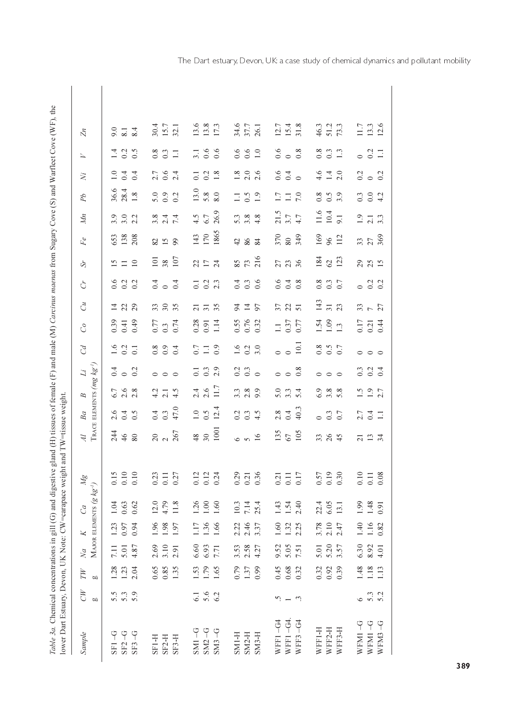| ١<br>$\sim$                                     |                       |
|-------------------------------------------------|-----------------------|
| کسما                                            |                       |
| ć                                               |                       |
| ]<br>]<br>-                                     |                       |
| ζ                                               |                       |
| ξ                                               |                       |
| $\sqrt{T}$                                      |                       |
| í,<br>l                                         | $\frac{1}{2}$<br>İ    |
| ulgestive<br>)                                  | とうこう<br>$\frac{1}{2}$ |
| S<br>֦֧֦֧֦֧֦֧ׅ֧֧֧֚֚֚֚֚֚֚֚֚֚֚֚֚֚֚֚֚֚֡֡֡֝֝֬֜֓֝֬֝֓ | $\epsilon$<br>l       |
| $\ddot{\phantom{a}}$<br>$5 - 2$                 |                       |
| $\sim$                                          |                       |
| - 375 - 7                                       | .<br>ו                |

| $SFI-G$                                  | <b>AC</b><br><b>b</b>       | TW<br>σŪ                                            | $\overline{Na}$            | K                          | Major elements (g $kgI$ )<br>$C_a$ | $\mathcal{M}_{\mathcal{G}}$  | $\overline{H}$      | ${\cal B}a$                                              | TRACE ELEMENTS (mg<br>B       | $kg^{-1}$<br>$\ddot{\mu}$                                | $\mathcal{C}^{\mathcal{A}}$ | $\mathcal{C}^o$            | $\mathcal{C}^{\mathcal{U}}$  | Ġ                       | $\mathcal{S}$                 | $F\varrho$                                   | $\mathcal{M}n$                                           | $\delta d$                                       | $\ddot{N}$                                       | $\overline{A}$                            | $\mathbb{Z}^n$                                      |
|------------------------------------------|-----------------------------|-----------------------------------------------------|----------------------------|----------------------------|------------------------------------|------------------------------|---------------------|----------------------------------------------------------|-------------------------------|----------------------------------------------------------|-----------------------------|----------------------------|------------------------------|-------------------------|-------------------------------|----------------------------------------------|----------------------------------------------------------|--------------------------------------------------|--------------------------------------------------|-------------------------------------------|-----------------------------------------------------|
| $SF2 - G$<br>$SF3 - G$                   | 5.5<br>5.3<br>5.9           | 1.28<br>$1.23$<br>2.04                              | $5.01$<br>4.87<br>$7.11$   | $1.23$<br>0.97<br>0.94     | 1.04<br>0.63<br>0.62               | $0.15$<br>$0.10$<br>$0.10$   | $\frac{34}{4}$ \$ 8 | $2.6$<br>0.4<br>0.5                                      | $6.7$<br>$0.6$<br>$2.8$       | 0.4                                                      | $\frac{1.6}{0.2}$           | $0.39$<br>0.41<br>0.49     | 1422                         | $0.2$<br>$0.2$          | $\frac{5}{2}$ = $\frac{5}{2}$ | 653<br>138<br>208                            | 3.002                                                    | $\frac{36.6}{28.4}$                              | $-3, 4$<br>$-6, 4$                               | $\frac{1}{1}$ $\frac{3}{1}$ $\frac{5}{1}$ | $9.1$ $8.4$                                         |
| SF1-H<br>SF3-H<br>$SF2-H$                |                             | $0.65$<br>0.85<br>1.35                              | 3.10<br>2.69<br>2.91       | 1.96<br>1.98<br>1.97       | $12.0$<br>4.79<br>11.8             | $0.23$<br>$0.11$<br>$0.27$   | $\frac{20}{2.67}$   | $0.4$<br>$0.3$<br>$47.0$                                 | $4.7 + 1.5$                   | $\circ \circ \circ$                                      | $0.8$<br>$0.9$<br>$0.4$     | $0.77$<br>$0.3$<br>$0.74$  | $339$                        | $rac{4}{0}$ 0.4         | $\frac{101}{38}$              | $\begin{array}{c} 22 \\ 15 \\ 8 \end{array}$ | $3.4$<br>$7.4$                                           | $5.0$<br>0.9                                     | $2.7$<br>$0.6$<br>$2.4$                          | $\begin{array}{c} 8.3 \\ 0.3 \end{array}$ | $30.4$<br>$15.7$<br>$32.1$                          |
| $SM2 - G$<br>$-6$<br>SM1 $-6$<br>$SM3-G$ | $5.6$<br>$6.2$<br>6.1       | $1.53$<br>$1.79$<br>$1.65$                          | $6.60$<br>$6.93$<br>7.71   | 1.17<br>1.36<br>1.66       | $1.26$<br>1.00<br>1.60             | $0.12$<br>$0.12$<br>$0.24$   | 48001               | $\frac{1}{0}$ . 5<br>12.4                                | $2.4$<br>$2.6$<br>II.7        | $\frac{1}{6}$ 3 3                                        | $0.7$<br>1.1                | $0.28$<br>$0.91$<br>$1.14$ | $\frac{21}{21}$              | $0.1$<br>$0.2$<br>$2.3$ | $22$ $\overline{)}$ $7$       | 143<br>170<br>1865                           | $4.5$<br>6.7<br>26.9                                     | $\frac{13.0}{5.8}$                               | $\begin{array}{c} 0.1 \\ 0.2 \\ 1.8 \end{array}$ | $7.66$<br>0.6                             | $\frac{13.6}{13.8}$                                 |
| <b>SM2-H</b><br>SM3-H<br><b>H-IMS</b>    |                             | $\begin{array}{c} 0.79 \\ 1.37 \\ 0.99 \end{array}$ | $3.53$<br>$2.58$<br>$4.27$ | 2.22<br>2.46<br>3.37       | 10.3<br>$7.14$<br>25.4             | $0.21$<br>$0.36$<br>0.29     | 6016                | $0.\overline{3}$<br>$0.\overline{3}$<br>$4.\overline{5}$ | $3.300$<br>$0.800$            | $\frac{0.2}{0.3}$                                        | $1.6$<br>0.2<br>3.0         | $0.55$<br>$0.76$<br>$0.32$ | 3170                         | $0.3$<br>0.6            | $\frac{55}{73}$               | 4884                                         | $5.\overline{3}$<br>$3.\overline{8}$<br>$4.\overline{8}$ | $\begin{array}{c} 1.1 \\ 0.5 \\ 1.9 \end{array}$ | $1.8$<br>$2.0$<br>$2.6$                          | $0.6$<br>0.6                              | 34.5<br>37.7<br>26.1                                |
| WFF1-G4<br>WFF1-G4<br>WFF3-G4            | v.<br>Ċ,                    | $0.45$<br>$0.68$<br>$0.32$                          | 5.05<br>9.52               | $1.60$<br>$1.32$<br>$2.25$ | $1.43$<br>$1.54$<br>$2.40$         | $0.21$<br>$0.11$<br>$0.17$   | $\frac{135}{67}$    | $2.8$<br>0.4<br>40.3                                     | $5.\overline{3},\overline{4}$ | $\begin{smallmatrix}8&&&&\&\circ&\circ\end{smallmatrix}$ | $\circ$ $\overline{5}$      | $\frac{1.1}{0.37}$         | $\frac{27}{22}$              | $0.4$ 8.0               | $27$<br>$23$<br>$56$          | $370$<br>$349$                               | $21.5$<br>$3.7$<br>$4.7$                                 | $1.7$<br>$7.0$                                   | 6.4                                              | $0.6$<br>$0.8$                            | $\begin{array}{c} 12.7 \\ 15.4 \\ 31.8 \end{array}$ |
| WFF1-H<br>WFF2-H<br>WFF3-H               |                             | $0.32$<br>$0.92$<br>$0.39$                          | $5.30$<br>$5.30$<br>$3.57$ | $3.78$<br>$2.10$<br>$2.47$ | $22.4$<br>6.05<br>13.1             | $0.57$<br>0.19<br>0.30       | $384$               | $0.3$ 0.7                                                | 0.8<br>0.8<br>5.8             | $\circ \circ \circ$                                      | $0.5$<br>0.5                | $\frac{1.54}{1.09}$        | $\frac{43}{3}$ $\frac{2}{3}$ | $0.3$<br>$0.7$          | $\frac{3}{2}$ $\frac{3}{2}$   | $\frac{169}{96}$                             | $\frac{11.6}{10.4}$                                      | $0.8$<br>0.5                                     | $4.4$<br>$1.4$<br>$2.0$                          | $0.3$ 0.3                                 | $46.3$<br>51.2<br>73.3                              |
| WFM1-G<br>WFM1-G<br>$WFM3-G$             | $5.\overline{3}$<br>$\circ$ | $1.48$<br>$1.18$<br>$1.13$                          | 6.30<br>8.92<br>4.01       | 1.16<br>1.40<br>0.82       | 1.48<br>1.99<br>0.91               | $0.10\,$<br>$0.08\,$<br>0.11 | 7134                | $2.7$<br>0.4<br>1.1                                      | $\frac{15}{1.9}$              | 0.34                                                     | $\circ$ $\circ$ $\circ$     | $\frac{17}{0.21}$          | $33$<br>7 $27$               | $0.2$ 0.2               | $29$ $15$                     | 337                                          | $1.9$<br>$2.1$<br>$3.3$                                  | $0.3$<br>$0.0$<br>$4.2$                          | $\frac{0.2}{0.2}$                                | $rac{2}{11}$                              | $\frac{11.7}{13.3}$                                 |

The Dart estuary, Devon, UK: a case study of chemical dynamics and pollutant mobility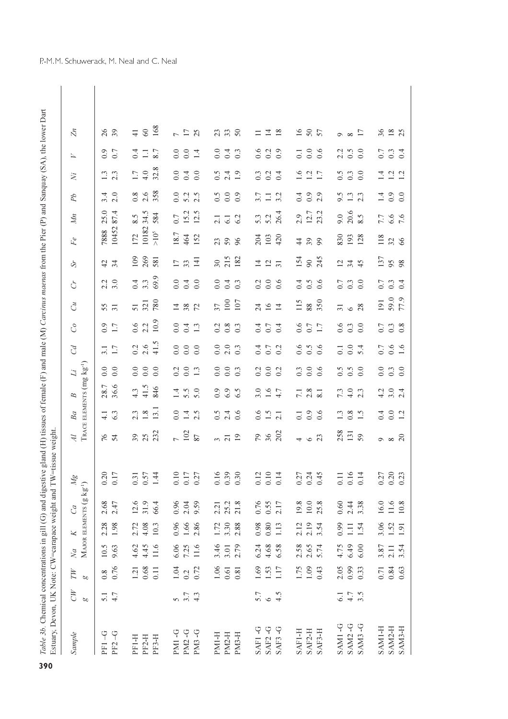| l                                                 |               |
|---------------------------------------------------|---------------|
|                                                   |               |
|                                                   |               |
|                                                   |               |
| ł                                                 |               |
| ļ                                                 |               |
|                                                   |               |
|                                                   |               |
|                                                   |               |
|                                                   |               |
|                                                   |               |
| ĺ                                                 |               |
|                                                   |               |
|                                                   |               |
| l                                                 |               |
|                                                   | İ<br>l        |
| $\frac{1}{2}$<br>j<br>i<br>)                      | $\frac{1}{2}$ |
|                                                   | į<br>J        |
| $\sim$ (C) $\sim$<br>$\ddot{\phantom{0}}$<br>こうこく |               |
| $-24.440 + 1.044$                                 | į<br>l<br>i   |
|                                                   | )<br>.<br>.   |
|                                                   | .<br>.        |
| .<br>ن                                            | .<br>;        |
| Î<br>ŀ                                            | n in mo<br>ļ  |

|                                                    |                                 |                              |                            |                          |                                                         | Estuary, Devon, UK Note: CW=carapace weight and TW=tissue weight. |                                           |                                                  |                                                          |                                                  |                                                         |                                                  |                                       |                                                  |                        |                           |                                                           |                                                   |                                                  |                           |                                           |  |
|----------------------------------------------------|---------------------------------|------------------------------|----------------------------|--------------------------|---------------------------------------------------------|-------------------------------------------------------------------|-------------------------------------------|--------------------------------------------------|----------------------------------------------------------|--------------------------------------------------|---------------------------------------------------------|--------------------------------------------------|---------------------------------------|--------------------------------------------------|------------------------|---------------------------|-----------------------------------------------------------|---------------------------------------------------|--------------------------------------------------|---------------------------|-------------------------------------------|--|
| Sample                                             | $\mathcal{H}$<br>$\infty$       | $\overline{H}$<br>$\varphi$  | Na                         | ×                        | MAJOR ELEMENTS (g kg <sup>-1</sup> )<br>$\mathcal{C}^a$ | $\mathbb{N}^{\mathcal{S}}$                                        | $\overline{H}$                            | Ba                                               | TRACE ELEMENTS (mg kg <sup>-1</sup> )<br>B               | $\ddot{U}$                                       | $\mathcal{L}$                                           | $\mathcal{C}^o$                                  | $\tilde{C}u$                          | Ò                                                | S                      | $F\varrho$                | Mn                                                        | $\mathcal{P}b$                                    | $\ddot{N}$                                       | $\overline{a}$            | Zn                                        |  |
| ۹<br>ا<br>ငှ<br>PF <sub>1</sub><br>PF <sub>2</sub> | $5.1$<br>4.7                    | 0.76<br>$0.8\,$              | 10.5<br>9.63               | $2.28$<br>1.98           | 2.68<br>2.47                                            | $0.17\,$<br>0.20                                                  | $\gamma$<br>$\mathcal{L}$                 | 6.3<br>$\frac{1}{4}$                             | 28.7<br>36.6                                             | $0.0\,$<br>0.0                                   | $\frac{3.1}{1.7}$                                       | $0.9$<br>1.7                                     | 55<br>$\overline{31}$                 | $2.\overline{2}$<br>3.0                          | $\overline{4}$<br>34   | 10452<br>7888             | 25.0<br>87.4                                              | 3.4<br>2.0                                        | $\frac{13}{23}$                                  | 0.9<br>0.7                | $\delta$<br>39                            |  |
| PF2-H<br>PF3-H<br>PF1-H                            |                                 | $0.68\,$<br>$1.21$<br>0.11   | 11.6<br>4.45<br>4.62       | 2.72<br>4.08<br>10.3     | 12.6<br>31.9<br>66.4                                    | 0.57<br>1.44<br>0.31                                              | 25<br>232<br>39                           | 13.1<br>$2.\overline{3}$<br><br>1.8              | $4.3$<br>41.5<br>846                                     |                                                  | $0.2$<br>2.6<br>41.5                                    | 10.9<br>$0.6$<br>2.2                             | 780<br>321<br>$\overline{51}$         | 69.9<br>$0.4\,$<br>$3.\overline{3}$              | 269<br>109<br>581      | 10182<br>${>}10^5$<br>172 | 34.5<br>584<br>8.5                                        | $0.\overline{8}$<br>2.6<br>358                    | 32.8<br>4.0<br>1.7                               | 8.7<br>0.4<br>$\Xi$       | 168<br>$\mathcal{S}$<br>$\overline{4}$    |  |
| PM2-G<br>ပှ<br><b>PM1-G</b><br>PM3                 | $5 - 7$<br>$-7$<br>$-3$<br>$-3$ | $1.04$<br>0.2<br>0.72        | $6.06$<br>7.25<br>11.6     | 1.66<br>2.86<br>0.96     | 0.96<br>9.59<br>2.04                                    | 0.10<br>0.17<br>0.27                                              | $\frac{1}{2}$ $\frac{1}{2}$ $\frac{1}{2}$ | 0.0<br>14.5                                      | 14.50                                                    | $\begin{array}{c} 0.2 \\ 0.0 \\ 1.3 \end{array}$ | $\begin{array}{ccc} 0 & 0 & 0 \\ 0 & 0 & 0 \end{array}$ | $0.4 \,$ m                                       | 1487                                  | 0.0<br>$rac{6}{6}$                               | $\Xi \approx \Xi$      | $\frac{18.7}{464}$<br>152 | $\frac{0.7}{15.2}$                                        | $0.0$<br>5.2<br>2.5                               | 0.400                                            | 0.001                     | $7\frac{17}{17}$                          |  |
| <b>H-IML</b><br><b>PM2-H</b><br><b>PM3-H</b>       |                                 | $1.06\,$<br>$0.61\,$<br>0.81 | 3.46<br>2.79<br>3.01       | 1.72<br>3.30<br>2.88     | 21.8<br>25.2<br>2.21                                    | 0.16<br>0.39<br>0.30                                              | $\frac{3}{2}$ 7 $\frac{1}{2}$             | $0.46$<br>$0.46$                                 | $0.9$<br>6.9<br>6.5                                      | 0.000000                                         | 0.0000000                                               | $\begin{array}{c} 0.3 \\ 0.3 \\ 0.3 \end{array}$ | 100<br>107<br>37                      | 0.0<br>0.4<br>0.3                                | $30$<br>$215$<br>$182$ | 238                       | $2.1$<br>$6.1$<br>$6.2$                                   | $0.5$<br>$0.0$<br>$0.0$                           | $0.5$<br>$0.4$<br>$0.1$                          | 0.0<br>$0.\overline{3}$   | 2330                                      |  |
| P<br>P<br>SAFI-G<br>SAF <sub>2</sub><br>SAF3       | $5.7$<br>$6.5$                  | $1.59$<br>$1.53$<br>$1.17$   | $6.24$<br>$4.68$<br>$6.58$ | 0.98<br>$0.80\,$<br>1.13 | 0.76<br>$0.55$<br>2.17                                  | $0.10$<br>$0.14$<br>0.12                                          | P 36                                      | $0.5$<br>$-1.5$<br>$2.1$                         | $3.6$<br>$1.4$                                           | $\begin{array}{c} 0.2 \\ 0.0 \\ 0.2 \end{array}$ | $0.7$<br>$0.2$                                          | $0.7$<br>$0.7$<br>$0.4$                          | $\overline{c}$<br>$16$ $\overline{1}$ | 0.0<br>0.2                                       | 14/3                   | 203                       | $5.\overline{3}$<br>$5.\overline{2}$<br>$26.\overline{4}$ | $3.7$<br>$1.1$<br>$3.2$                           | $0.3$ $0.4$                                      | 0.6<br>$rac{2}{0.9}$      | $\overline{1}$ $\overline{8}$<br>$\equiv$ |  |
| SAF3-H<br><b>H-1-RS</b><br>SAF2-H                  |                                 | 1.75<br>1.09<br>0.43         | 2.58<br>$2.65$<br>5.74     | 2.19<br>2.12<br>3.54     | 19.8<br>$10.0\,$<br>25.8                                | 0.27<br>0.24<br>0.45                                              | 402                                       | $\begin{array}{c} 0.1 \\ 0.9 \\ 0.6 \end{array}$ | $7.\overline{3}$<br>$2.\overline{3}$<br>$3.\overline{1}$ | $0.3$<br>$0.6$                                   | 0.50000                                                 | $0.7$<br>$0.7$<br>$1.7$                          | $\frac{15}{88}$                       | $0.56$<br>$0.5$                                  | $154$<br>90 $245$      | 498                       | $2.9$<br>12.7<br>23.2                                     | $\begin{array}{c} 1, 0, 0 \\ 0, 0, 0 \end{array}$ | $\frac{1.6}{1.7}$                                | 0.6<br>$\overline{5}$     | $\overline{16}$<br>50                     |  |
| <b>SAM2-G</b><br><b>D-INNS</b><br>Ÿ<br><b>SAM3</b> | $4.7$<br>3.5<br>$\overline{61}$ | 2.05<br>0.99<br>0.33         | 4.75<br>6.49<br>6.00       | 0.99<br>1.11<br>1.54     | 3.38<br>0.60<br>2.44                                    | 0.16<br>0.14<br>0.11                                              | 258<br>131<br>59                          | $\frac{13}{0.8}$ $\frac{8}{1.5}$                 | $7.3$<br>$7.4$ $2.3$                                     | $0.5$<br>$0.5$                                   | $-0.34$                                                 | $0.3$<br>$0.3$                                   | $\frac{1}{6}$ 6 $\frac{28}{28}$       | $\begin{array}{c} 0.7 \\ 0.3 \end{array}$        | 245                    | 830<br>193<br>128         | $9.0$<br>$20.6$<br>8.5                                    | 9.3<br>1.3<br>2.3                                 | $\begin{array}{c} 0.5 \\ 0.3 \\ 0.0 \end{array}$ | $2.3$ 0.0                 | $\frac{8}{8}$ 17                          |  |
| <b>H-INNS</b><br>SAM2-H<br>SAM3-H                  |                                 | $0.84\,$<br>0.63<br>$0.71\,$ | 3.87<br>2.11<br>3.54       | 3.06<br>$1.52$<br>1.91   | 11.6<br>10.8<br>16.0                                    | $0.20$<br>$0.23$<br>0.27                                          | $\circ$ $\approx$ $\approx$               | $0.3$<br>0.0 1.2                                 | 4.2<br>$3.\overline{0}$<br>2.4                           |                                                  | $0.7$<br>0.6<br>1.6                                     | $0.7$<br>$0.3$<br>$0.8$                          | $\frac{191}{59.0}$                    | $\begin{array}{c} 0.7 \\ 0.3 \\ 0.4 \end{array}$ | $137$<br>95<br>98      | $\frac{18}{32}$           | $7.56$<br>7.6                                             | $\frac{4}{0}$ 0 0 0                               | $\frac{4}{1}$ $\frac{1}{1}$ $\frac{1}{2}$        | $0.\overline{3}$<br>0.3 4 | $36$ $8$ $25$                             |  |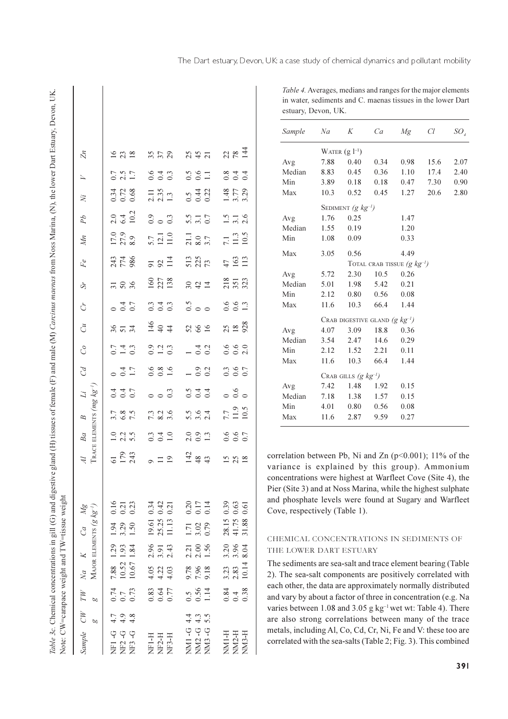| EЖ<br><b>Sample</b>                                                     | TW                                                 | Na                     | $\overline{K}$       | $C_a$                            | $\mathcal{Mg}$             | $\ddot{H}$         | Ba                         | B                                    | $\ddot{U}$                      | $C_{d}$          | So              | $\tilde{C}u$                       | Ò                   | Š                 | $Fe$              | Mп                    | Pb                             | $\ddot{\times}$                  | $\overline{A}$           | Z <sub>n</sub>  |  |
|-------------------------------------------------------------------------|----------------------------------------------------|------------------------|----------------------|----------------------------------|----------------------------|--------------------|----------------------------|--------------------------------------|---------------------------------|------------------|-----------------|------------------------------------|---------------------|-------------------|-------------------|-----------------------|--------------------------------|----------------------------------|--------------------------|-----------------|--|
|                                                                         |                                                    |                        |                      | Major elements ( $g$ $kg^{-1}$ ) |                            |                    |                            | $\Gamma$ race elements (mg $kg^{-1}$ |                                 |                  |                 |                                    |                     |                   |                   |                       |                                |                                  |                          |                 |  |
|                                                                         |                                                    |                        |                      |                                  |                            |                    |                            |                                      |                                 |                  |                 |                                    |                     |                   |                   |                       |                                |                                  |                          |                 |  |
| $7 - 9$<br>$4 + 3$<br>$4 + 4$<br><b>G - G - G</b><br>NF2 - G<br>NF3 - E | $\begin{array}{c} 0.74 \\ 0.7 \\ 0.73 \end{array}$ | 7.88<br>10.52<br>10.67 |                      | $1.34$<br>$3.29$<br>$1.50$       | 0.71<br>0.21<br>0.23       | 5<br>173<br>243    | $-2.3$<br>$-2.5$           | $3.7$<br>6.8 7.5                     | $0.07$<br>$0.7$                 | $-3.7$           | $0.14$<br>$0.3$ | $36\frac{1}{2}$                    | 0.47                | $\frac{2}{50}$    | 243<br>774<br>986 | $\frac{17.9}{27.9}$   | $\frac{0}{6}$ d $\frac{4}{10}$ | $0.34$<br>0.72<br>0.68           | $0.7$<br>$2.5$<br>$1.7$  | $\frac{16}{23}$ |  |
|                                                                         |                                                    |                        | $\frac{29}{1.31}$    |                                  |                            |                    |                            |                                      |                                 |                  |                 |                                    |                     |                   |                   |                       |                                |                                  |                          |                 |  |
|                                                                         |                                                    |                        |                      |                                  |                            |                    |                            |                                      |                                 |                  |                 |                                    |                     |                   |                   |                       |                                |                                  |                          |                 |  |
| NF1-H<br>NF2-H<br>NF3-H                                                 |                                                    |                        |                      |                                  |                            | $\circ$ = $\circ$  | 3.40                       | 7.3<br>8.3.6                         | $\circ$ $\circ$ $\frac{3}{2}$   | $0.86$<br>$0.86$ | 0.213           | न <del>३</del><br>न ३ <del>१</del> | 3,4,0               | 160<br>227<br>138 | 581               | 5.7<br>12.1<br>11.0   | $rac{9}{60}$                   | $\frac{11}{2}$<br>$\frac{35}{1}$ | 6 4 9<br>0 0 0           | $37$<br>$29$    |  |
|                                                                         | 0.83<br>0.64<br>0.77                               | $\frac{4.33}{4.33}$    | 2.96<br>3.91<br>2.43 | $\frac{19.61}{25.25}$<br>11.13   | $0.34$<br>$0.42$<br>$0.21$ |                    |                            |                                      |                                 |                  |                 |                                    |                     |                   |                   |                       |                                |                                  |                          |                 |  |
|                                                                         |                                                    |                        |                      |                                  |                            |                    |                            |                                      |                                 |                  |                 |                                    |                     |                   |                   |                       |                                |                                  |                          |                 |  |
|                                                                         | $\begin{array}{c} 0.5 \\ 0.56 \\ 1.14 \end{array}$ | 9.78<br>7.96<br>9.18   | 2.21<br>2.00<br>1.56 | $\frac{1.71}{3.02}$              | $0.17$<br>0.17<br>0.14     | <u> .</u><br>그 쪽 유 | $2.9$<br>$0.9$<br>$1.3$    | 5.6<br>5.4<br>5.4                    | 0.44                            | $-9.3$           | $-3.3$          | 3890                               | $\frac{5}{3}$       | 29.47             | 513<br>225<br>73  | $7.07$<br>8.3.7       | $5.\overline{3}.1$<br>0.7      | $0.422$<br>0.4.22                | $rac{6}{6}$ $rac{6}{11}$ | $25$ 45         |  |
| NM1-G 4.4<br>NM2-G 4.3<br>NM3-G 5.5                                     |                                                    |                        |                      |                                  |                            |                    |                            |                                      |                                 |                  |                 |                                    |                     |                   |                   |                       |                                |                                  |                          |                 |  |
|                                                                         |                                                    |                        |                      |                                  |                            |                    |                            |                                      |                                 |                  |                 |                                    |                     |                   |                   |                       |                                |                                  |                          |                 |  |
| NM1-H<br>NM2-H                                                          | $0.84$<br>$0.4$<br>0.38                            | 3.23<br>2.83<br>10.14  | 3.36<br>3.36<br>8.92 |                                  | $0.39$<br>$0.63$<br>$0.61$ | $15 \frac{25}{18}$ | 0<br>0<br>0<br>0<br>0<br>0 | $7.7$<br>11.9<br>10.5                | $\circ \, \, \circ \, \, \circ$ | $0.50$<br>$0.7$  | 6 6 0<br>0 0 1  | $\frac{25}{18}$                    | $0.6$<br>0.5<br>1.3 | 218<br>351<br>323 | $\frac{47}{163}$  | $7.1$<br>11.3<br>10.5 | $\frac{15}{310}$               | $\frac{1.48}{3.77}$              | 0.44                     | 284             |  |
| <b>NM3-H</b>                                                            |                                                    |                        |                      | 28.15<br>41.75<br>31.88          |                            |                    |                            |                                      |                                 |                  |                 |                                    |                     |                   |                   |                       |                                |                                  |                          |                 |  |

Table 4. Averages, medians and ranges for the major elements in water, sediments and C. maenas tissues in the lower Dart estuary, Devon, UK.

| Sample | Na   | K                                    | Ca   | Mg                                 | Cl   | $SO_{4}$ |
|--------|------|--------------------------------------|------|------------------------------------|------|----------|
|        |      | WATER $(g l^{-1})$                   |      |                                    |      |          |
| Avg    | 7.88 | 0.40                                 | 0.34 | 0.98                               | 15.6 | 2.07     |
| Median | 8.83 | 0.45                                 | 0.36 | 1.10                               | 17.4 | 2.40     |
| Min    | 3.89 | 0.18                                 | 0.18 | 0.47                               | 7.30 | 0.90     |
| Max    | 10.3 | 0.52                                 | 0.45 | 1.27                               | 20.6 | 2.80     |
|        |      | SEDIMENT $(g \ kg^{-1})$             |      |                                    |      |          |
| Avg    | 1.76 | 0.25                                 |      | 1.47                               |      |          |
| Median | 1.55 | 0.19                                 |      | 1.20                               |      |          |
| Min    | 1.08 | 0.09                                 |      | 0.33                               |      |          |
| Max    | 3.05 | 0.56                                 |      | 4.49                               |      |          |
|        |      |                                      |      | TOTAL CRAB TISSUE $(g \; kg^{-1})$ |      |          |
| Avg    | 5.72 | 2.30                                 | 10.5 | 0.26                               |      |          |
| Median | 5.01 | 1.98                                 | 5.42 | 0.21                               |      |          |
| Min    | 2.12 | 0.80                                 | 0.56 | 0.08                               |      |          |
| Max    | 11.6 | 10.3                                 | 66.4 | 1.44                               |      |          |
|        |      | CRAB DIGESTIVE GLAND $(g \ kg^{-1})$ |      |                                    |      |          |
| Avg    | 4.07 | 3.09                                 | 18.8 | 0.36                               |      |          |
| Median | 3.54 | 2.47                                 | 14.6 | 0.29                               |      |          |
| Min    | 2.12 | 1.52                                 | 2.21 | 0.11                               |      |          |
| Max    | 11.6 | 10.3                                 | 66.4 | 1.44                               |      |          |
|        |      | CRAB GILLS $(g \; kg^{-1})$          |      |                                    |      |          |
| Avg    | 7.42 | 1.48                                 | 1.92 | 0.15                               |      |          |
| Median | 7.18 | 1.38                                 | 1.57 | 0.15                               |      |          |
| Min    | 4.01 | 0.80                                 | 0.56 | 0.08                               |      |          |
| Max    | 11.6 | 2.87                                 | 9.59 | 0.27                               |      |          |
|        |      |                                      |      |                                    |      |          |

correlation between Pb, Ni and Zn ( $p<0.001$ ); 11% of the variance is explained by this group). Ammonium concentrations were highest at Warfleet Cove (Site 4), the Pier (Site 3) and at Noss Marina, while the highest sulphate and phosphate levels were found at Sugary and Warfleet Cove, respectively (Table 1).

### CHEMICAL CONCENTRATIONS IN SEDIMENTS OF THE LOWER DART ESTUARY

The sediments are sea-salt and trace element bearing (Table 2). The sea-salt components are positively correlated with each other, the data are approximately normally distributed and vary by about a factor of three in concentration (e.g. Na varies between 1.08 and 3.05  $g \text{ kg}^{-1}$  wet wt: Table 4). There are also strong correlations between many of the trace metals, including Al, Co, Cd, Cr, Ni, Fe and V: these too are correlated with the sea-salts (Table 2; Fig. 3). This combined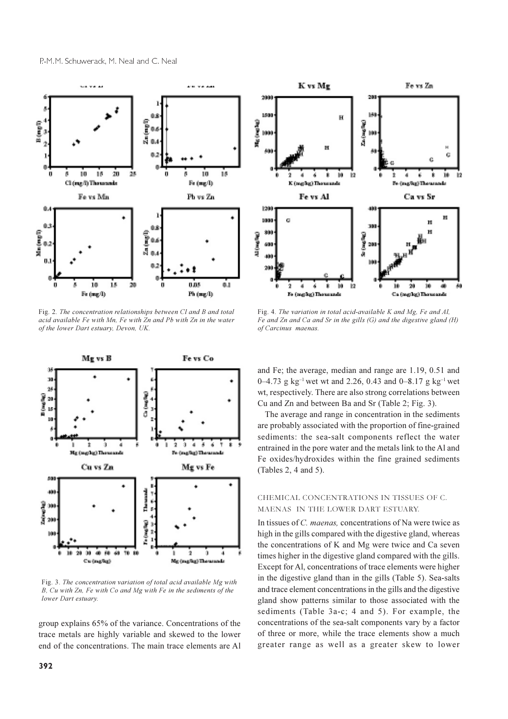

Fig. 2. The concentration relationships between Cl and B and total acid available Fe with Mn, Fe with Zn and Pb with Zn in the water of the lower Dart estuary, Devon, UK.



Fig. 3. The concentration variation of total acid available Mg with B, Cu with Zn, Fe with Co and Mg with Fe in the sediments of the lower Dart estuary.

group explains 65% of the variance. Concentrations of the trace metals are highly variable and skewed to the lower end of the concentrations. The main trace elements are Al



Fig. 4. The variation in total acid-available K and Mg, Fe and Al, Fe and Zn and Ca and Sr in the gills (G) and the digestive gland (H) of Carcinus maenas

and Fe; the average, median and range are 1.19, 0.51 and 0–4.73 g kg<sup>-1</sup> wet wt and 2.26, 0.43 and 0–8.17 g kg<sup>-1</sup> wet wt, respectively. There are also strong correlations between Cu and Zn and between Ba and Sr (Table 2; Fig. 3).

The average and range in concentration in the sediments are probably associated with the proportion of fine-grained sediments: the sea-salt components reflect the water entrained in the pore water and the metals link to the Al and Fe oxides/hydroxides within the fine grained sediments (Tables 2, 4 and 5).

## CHEMICAL CONCENTRATIONS IN TISSUES OF C. MAENAS IN THE LOWER DART ESTUARY.

In tissues of C. *maenas*, concentrations of Na were twice as high in the gills compared with the digestive gland, whereas the concentrations of K and Mg were twice and Ca seven times higher in the digestive gland compared with the gills. Except for Al, concentrations of trace elements were higher in the digestive gland than in the gills (Table 5). Sea-salts and trace element concentrations in the gills and the digestive gland show patterns similar to those associated with the sediments (Table 3a-c; 4 and 5). For example, the concentrations of the sea-salt components vary by a factor of three or more, while the trace elements show a much greater range as well as a greater skew to lower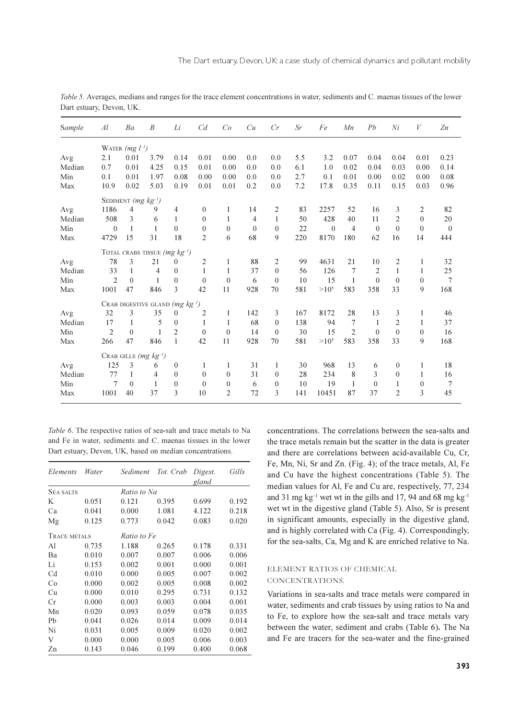| Sample | Al             | Ba                           | $\boldsymbol{B}$                      | Li             | C <sub>d</sub> | Co             | Cu             | Cr             | Sr  | Fe        | Mn             | Pb             | Ni             | V            | Zn             |
|--------|----------------|------------------------------|---------------------------------------|----------------|----------------|----------------|----------------|----------------|-----|-----------|----------------|----------------|----------------|--------------|----------------|
|        |                | WATER $(mg l^{-1})$          |                                       |                |                |                |                |                |     |           |                |                |                |              |                |
| Avg    | 2.1            | 0.01                         | 3.79                                  | 0.14           | 0.01           | 0.00           | 0.0            | 0.0            | 5.5 | 3.2       | 0.07           | 0.04           | 0.04           | 0.01         | 0.23           |
| Median | 0.7            | 0.01                         | 4.25                                  | 0.15           | 0.01           | 0.00           | 0.0            | 0.0            | 6.1 | 1.0       | 0.02           | 0.04           | 0.03           | 0.00         | 0.14           |
| Min    | 0.1            | 0.01                         | 1.97                                  | 0.08           | 0.00           | 0.00           | 0.0            | 0.0            | 2.7 | 0.1       | 0.01           | 0.00           | 0.02           | 0.00         | 0.08           |
| Max    | 10.9           | 0.02                         | 5.03                                  | 0.19           | 0.01           | 0.01           | 0.2            | 0.0            | 7.2 | 17.8      | 0.35           | 0.11           | 0.15           | 0.03         | 0.96           |
|        |                | SEDIMENT $(mg kg^{-1})$      |                                       |                |                |                |                |                |     |           |                |                |                |              |                |
| Avg    | 1186           | $\overline{4}$               | 9                                     | $\overline{4}$ | $\overline{0}$ | 1              | 14             | 2              | 83  | 2257      | 52             | 16             | 3              | 2            | 82             |
| Median | 508            | 3                            | 6                                     | $\mathbf{1}$   | $\overline{0}$ | $\mathbf{1}$   | $\overline{4}$ | $\mathbf{1}$   | 50  | 428       | 40             | 11             | $\overline{2}$ | $\theta$     | 20             |
| Min    | $\theta$       | $\mathbf{1}$                 | 1                                     | $\theta$       | $\Omega$       | $\theta$       | $\mathbf{0}$   | $\theta$       | 22  | $\theta$  | $\overline{4}$ | $\theta$       | $\theta$       | $\Omega$     | $\overline{0}$ |
| Max    | 4729           | 15                           | 31                                    | 18             | $\overline{2}$ | 6              | 68             | 9              | 220 | 8170      | 180            | 62             | 16             | 14           | 444            |
|        |                |                              | TOTAL CRABS TISSUE $(mg \ kg^{-1})$   |                |                |                |                |                |     |           |                |                |                |              |                |
| Avg    | 78             | 3                            | 21                                    | $\theta$       | 2              | 1              | 88             | $\overline{c}$ | 99  | 4631      | 21             | 10             | $\overline{2}$ | 1            | 32             |
| Median | 33             | 1                            | $\overline{4}$                        | $\theta$       | 1              | $\mathbf{1}$   | 37             | $\theta$       | 56  | 126       | 7              | $\overline{c}$ | $\mathbf{1}$   | $\mathbf{1}$ | 25             |
| Min    | $\overline{2}$ | $\theta$                     | $\mathbf{1}$                          | $\theta$       | $\theta$       | $\theta$       | 6              | $\theta$       | 10  | 15        | 1              | $\theta$       | $\theta$       | $\theta$     | $\overline{7}$ |
| Max    | 1001           | 47                           | 846                                   | 3              | 42             | 11             | 928            | 70             | 581 | $>10^{5}$ | 583            | 358            | 33             | 9            | 168            |
|        |                |                              | CRAB DIGESTIVE GLAND $(mg \ kg^{-1})$ |                |                |                |                |                |     |           |                |                |                |              |                |
| Avg    | 32             | 3                            | 35                                    | $\theta$       | $\overline{c}$ | $\mathbf{1}$   | 142            | 3              | 167 | 8172      | 28             | 13             | 3              | 1            | 46             |
| Median | 17             | 1                            | 5                                     | $\theta$       | $\mathbf{1}$   | $\mathbf{1}$   | 68             | $\theta$       | 138 | 94        | $\overline{7}$ | $\mathbf{1}$   | $\overline{2}$ | $\mathbf{1}$ | 37             |
| Min    | $\overline{c}$ | $\theta$                     | $\mathbf{1}$                          | $\overline{2}$ | $\theta$       | $\theta$       | 14             | $\mathbf{0}$   | 30  | 15        | $\overline{2}$ | $\theta$       | $\theta$       | $\Omega$     | 16             |
| Max    | 266            | 47                           | 846                                   | $\mathbf{1}$   | 42             | 11             | 928            | 70             | 581 | $>10^{5}$ | 583            | 358            | 33             | 9            | 168            |
|        |                | CRAB GILLS $(mg \; kg^{-1})$ |                                       |                |                |                |                |                |     |           |                |                |                |              |                |
| Avg    | 125            | 3                            | 6                                     | $\Omega$       | 1              | 1              | 31             | 1              | 30  | 968       | 13             | 6              | $\theta$       | 1            | 18             |
| Median | 77             | 1                            | $\overline{4}$                        | $\theta$       | $\theta$       | $\Omega$       | 31             | $\theta$       | 28  | 234       | 8              | 3              | $\theta$       | 1            | 16             |
| Min    | 7              | $\theta$                     | 1                                     | $\theta$       | $\theta$       | $\mathbf{0}$   | 6              | $\theta$       | 10  | 19        | 1              | $\theta$       | 1              | $\theta$     | 7              |
| Max    | 1001           | 40                           | 37                                    | 3              | 10             | $\overline{2}$ | 72             | 3              | 141 | 10451     | 87             | 37             | $\overline{2}$ | 3            | 45             |

Table 5. Averages, medians and ranges for the trace element concentrations in water, sediments and C. maenas tissues of the lower Dart estuary, Devon, UK.

Table 6. The respective ratios of sea-salt and trace metals to Na and Fe in water, sediments and C. maenas tissues in the lower Dart estuary, Devon, UK, based on median concentrations.

| Elements         | Water | Sediment    | Tot. Crab | Digest.<br>gland | Gills |
|------------------|-------|-------------|-----------|------------------|-------|
| <b>SEA SALTS</b> |       | Ratio to Na |           |                  |       |
| K                | 0.051 | 0.121       | 0.395     | 0.699            | 0.192 |
| Ca               | 0.041 | 0.000       | 1.081     | 4.122            | 0.218 |
| Mg               | 0.125 | 0.773       | 0.042     | 0.083            | 0.020 |
| TRACE METALS     |       | Ratio to Fe |           |                  |       |
| Al               | 0.735 | 1.188       | 0.265     | 0.178            | 0.331 |
| Ba               | 0.010 | 0.007       | 0.007     | 0.006            | 0.006 |
| Li               | 0.153 | 0.002       | 0.001     | 0.000            | 0.001 |
| C <sub>d</sub>   | 0.010 | 0.000       | 0.005     | 0.007            | 0.002 |
| Co               | 0.000 | 0.002       | 0.005     | 0.008            | 0.002 |
| Cu               | 0.000 | 0.010       | 0.295     | 0.731            | 0.132 |
| Cr               | 0.000 | 0.003       | 0.003     | 0.004            | 0.001 |
| Mn               | 0.020 | 0.093       | 0.059     | 0.078            | 0.035 |
| Pb               | 0.041 | 0.026       | 0.014     | 0.009            | 0.014 |
| Ni               | 0.031 | 0.005       | 0.009     | 0.020            | 0.002 |
| V                | 0.000 | 0.000       | 0.005     | 0.006            | 0.003 |
| Zn               | 0.143 | 0.046       | 0.199     | 0.400            | 0.068 |

concentrations. The correlations between the sea-salts and the trace metals remain but the scatter in the data is greater and there are correlations between acid-available Cu, Cr, Fe, Mn, Ni, Sr and Zn. (Fig. 4); of the trace metals, Al, Fe and Cu have the highest concentrations (Table 5). The median values for Al, Fe and Cu are, respectively, 77, 234 and 31 mg  $kg^{-1}$  wet wt in the gills and 17, 94 and 68 mg  $kg^{-1}$ wet wt in the digestive gland (Table 5). Also, Sr is present in significant amounts, especially in the digestive gland, and is highly correlated with Ca (Fig. 4). Correspondingly, for the sea-salts, Ca, Mg and K are enriched relative to Na.

#### ELEMENT RATIOS OF CHEMICAL CONCENTRATIONS.

Variations in sea-salts and trace metals were compared in water, sediments and crab tissues by using ratios to Na and to Fe, to explore how the sea-salt and trace metals vary between the water, sediment and crabs (Table 6). The Na and Fe are tracers for the sea-water and the fine-grained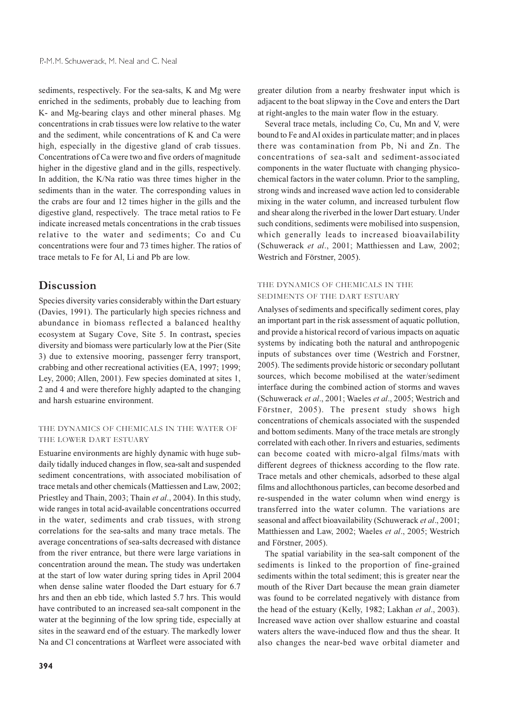sediments, respectively. For the sea-salts, K and Mg were enriched in the sediments, probably due to leaching from K- and Mg-bearing clays and other mineral phases. Mg concentrations in crab tissues were low relative to the water and the sediment, while concentrations of K and Ca were high, especially in the digestive gland of crab tissues. Concentrations of Ca were two and five orders of magnitude higher in the digestive gland and in the gills, respectively. In addition, the K/Na ratio was three times higher in the sediments than in the water. The corresponding values in the crabs are four and 12 times higher in the gills and the digestive gland, respectively. The trace metal ratios to Fe indicate increased metals concentrations in the crab tissues relative to the water and sediments; Co and Cu concentrations were four and 73 times higher. The ratios of trace metals to Fe for Al, Li and Pb are low.

# **Discussion**

Species diversity varies considerably within the Dart estuary (Davies, 1991). The particularly high species richness and abundance in biomass reflected a balanced healthy ecosystem at Sugary Cove, Site 5. In contrast, species diversity and biomass were particularly low at the Pier (Site 3) due to extensive mooring, passenger ferry transport, crabbing and other recreational activities (EA, 1997; 1999; Ley, 2000; Allen, 2001). Few species dominated at sites 1, 2 and 4 and were therefore highly adapted to the changing and harsh estuarine environment.

#### THE DYNAMICS OF CHEMICALS IN THE WATER OF THE LOWER DART ESTUARY

Estuarine environments are highly dynamic with huge subdaily tidally induced changes in flow, sea-salt and suspended sediment concentrations, with associated mobilisation of trace metals and other chemicals (Mattiessen and Law, 2002; Priestley and Thain, 2003; Thain et al., 2004). In this study, wide ranges in total acid-available concentrations occurred in the water, sediments and crab tissues, with strong correlations for the sea-salts and many trace metals. The average concentrations of sea-salts decreased with distance from the river entrance, but there were large variations in concentration around the mean. The study was undertaken at the start of low water during spring tides in April 2004 when dense saline water flooded the Dart estuary for 6.7 hrs and then an ebb tide, which lasted 5.7 hrs. This would have contributed to an increased sea-salt component in the water at the beginning of the low spring tide, especially at sites in the seaward end of the estuary. The markedly lower Na and Cl concentrations at Warfleet were associated with

greater dilution from a nearby freshwater input which is adjacent to the boat slipway in the Cove and enters the Dart at right-angles to the main water flow in the estuary.

Several trace metals, including Co, Cu, Mn and V, were bound to Fe and Al oxides in particulate matter; and in places there was contamination from Pb. Ni and Zn. The concentrations of sea-salt and sediment-associated components in the water fluctuate with changing physicochemical factors in the water column. Prior to the sampling, strong winds and increased wave action led to considerable mixing in the water column, and increased turbulent flow and shear along the riverbed in the lower Dart estuary. Under such conditions, sediments were mobilised into suspension, which generally leads to increased bioavailability (Schuwerack et al., 2001; Matthiessen and Law, 2002; Westrich and Förstner, 2005).

#### THE DYNAMICS OF CHEMICALS IN THE SEDIMENTS OF THE DART ESTUARY

Analyses of sediments and specifically sediment cores, play an important part in the risk assessment of aquatic pollution, and provide a historical record of various impacts on aquatic systems by indicating both the natural and anthropogenic inputs of substances over time (Westrich and Forstner, 2005). The sediments provide historic or secondary pollutant sources, which become mobilised at the water/sediment interface during the combined action of storms and waves (Schuwerack et al., 2001; Waeles et al., 2005; Westrich and Förstner, 2005). The present study shows high concentrations of chemicals associated with the suspended and bottom sediments. Many of the trace metals are strongly correlated with each other. In rivers and estuaries, sediments can become coated with micro-algal films/mats with different degrees of thickness according to the flow rate. Trace metals and other chemicals, adsorbed to these algal films and allochthonous particles, can become desorbed and re-suspended in the water column when wind energy is transferred into the water column. The variations are seasonal and affect bioavailability (Schuwerack et al., 2001; Matthiessen and Law, 2002; Waeles et al., 2005; Westrich and Förstner, 2005).

The spatial variability in the sea-salt component of the sediments is linked to the proportion of fine-grained sediments within the total sediment; this is greater near the mouth of the River Dart because the mean grain diameter was found to be correlated negatively with distance from the head of the estuary (Kelly, 1982; Lakhan et al., 2003). Increased wave action over shallow estuarine and coastal waters alters the wave-induced flow and thus the shear. It also changes the near-bed wave orbital diameter and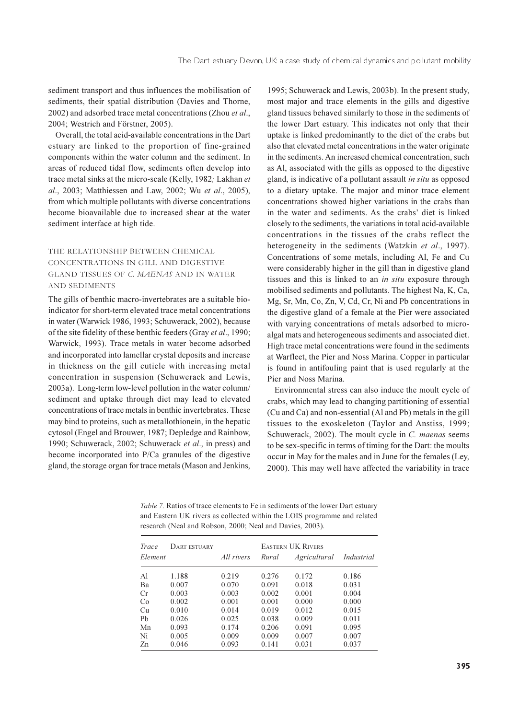sediment transport and thus influences the mobilisation of sediments, their spatial distribution (Davies and Thorne, 2002) and adsorbed trace metal concentrations (Zhou et al., 2004; Westrich and Förstner, 2005).

Overall, the total acid-available concentrations in the Dart estuary are linked to the proportion of fine-grained components within the water column and the sediment. In areas of reduced tidal flow, sediments often develop into trace metal sinks at the micro-scale (Kelly, 1982; Lakhan et al., 2003; Matthiessen and Law, 2002; Wu et al., 2005), from which multiple pollutants with diverse concentrations become bioavailable due to increased shear at the water sediment interface at high tide.

# THE RELATIONSHIP BETWEEN CHEMICAL CONCENTRATIONS IN GILL AND DIGESTIVE GLAND TISSUES OF C. MAENAS AND IN WATER **AND SEDIMENTS**

The gills of benthic macro-invertebrates are a suitable bioindicator for short-term elevated trace metal concentrations in water (Warwick 1986, 1993; Schuwerack, 2002), because of the site fidelity of these benthic feeders (Gray et al., 1990; Warwick, 1993). Trace metals in water become adsorbed and incorporated into lamellar crystal deposits and increase in thickness on the gill cuticle with increasing metal concentration in suspension (Schuwerack and Lewis, 2003a). Long-term low-level pollution in the water column/ sediment and uptake through diet may lead to elevated concentrations of trace metals in benthic invertebrates. These may bind to proteins, such as metallothionein, in the hepatic cytosol (Engel and Brouwer, 1987; Depledge and Rainbow, 1990; Schuwerack, 2002; Schuwerack et al., in press) and become incorporated into P/Ca granules of the digestive gland, the storage organ for trace metals (Mason and Jenkins,

1995; Schuwerack and Lewis, 2003b). In the present study, most major and trace elements in the gills and digestive gland tissues behaved similarly to those in the sediments of the lower Dart estuary. This indicates not only that their uptake is linked predominantly to the diet of the crabs but also that elevated metal concentrations in the water originate in the sediments. An increased chemical concentration, such as Al, associated with the gills as opposed to the digestive gland, is indicative of a pollutant assault in situ as opposed to a dietary uptake. The major and minor trace element concentrations showed higher variations in the crabs than in the water and sediments. As the crabs' diet is linked closely to the sediments, the variations in total acid-available concentrations in the tissues of the crabs reflect the heterogeneity in the sediments (Watzkin et al., 1997). Concentrations of some metals, including Al, Fe and Cu were considerably higher in the gill than in digestive gland tissues and this is linked to an *in situ* exposure through mobilised sediments and pollutants. The highest Na, K, Ca, Mg, Sr, Mn, Co, Zn, V, Cd, Cr, Ni and Pb concentrations in the digestive gland of a female at the Pier were associated with varying concentrations of metals adsorbed to microalgal mats and heterogeneous sediments and associated diet. High trace metal concentrations were found in the sediments at Warfleet, the Pier and Noss Marina. Copper in particular is found in antifouling paint that is used regularly at the Pier and Noss Marina.

Environmental stress can also induce the moult cycle of crabs, which may lead to changing partitioning of essential (Cu and Ca) and non-essential (Al and Pb) metals in the gill tissues to the exoskeleton (Taylor and Anstiss, 1999; Schuwerack, 2002). The moult cycle in C. maenas seems to be sex-specific in terms of timing for the Dart: the moults occur in May for the males and in June for the females (Ley, 2000). This may well have affected the variability in trace

Table 7. Ratios of trace elements to Fe in sediments of the lower Dart estuary and Eastern UK rivers as collected within the LOIS programme and related research (Neal and Robson, 2000; Neal and Davies, 2003).

| Trace     | DART ESTUARY | <b>EASTERN UK RIVERS</b> |       |              |            |
|-----------|--------------|--------------------------|-------|--------------|------------|
| Element   |              | All rivers               | Rural | Agricultural | Industrial |
| A1        | 1.188        | 0.219                    | 0.276 | 0.172        | 0.186      |
| Ba        | 0.007        | 0.070                    | 0.091 | 0.018        | 0.031      |
| <b>Cr</b> | 0.003        | 0.003                    | 0.002 | 0.001        | 0.004      |
| Co        | 0.002        | 0.001                    | 0.001 | 0.000        | 0.000      |
| Cu        | 0.010        | 0.014                    | 0.019 | 0.012        | 0.015      |
| Pb        | 0.026        | 0.025                    | 0.038 | 0.009        | 0.011      |
| Mn        | 0.093        | 0.174                    | 0.206 | 0.091        | 0.095      |
| Ni        | 0.005        | 0.009                    | 0.009 | 0.007        | 0.007      |
| Zn        | 0.046        | 0.093                    | 0.141 | 0.031        | 0.037      |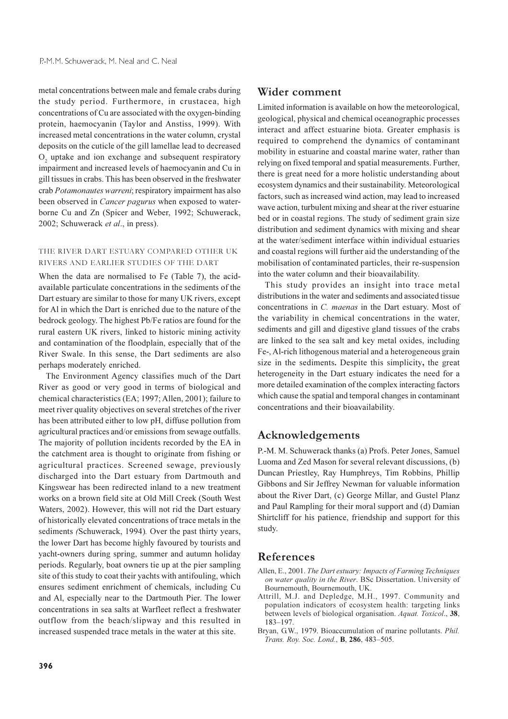metal concentrations between male and female crabs during the study period. Furthermore, in crustacea, high concentrations of Cu are associated with the oxygen-binding protein, haemocyanin (Taylor and Anstiss, 1999). With increased metal concentrations in the water column, crystal deposits on the cuticle of the gill lamellae lead to decreased O<sub>s</sub> uptake and ion exchange and subsequent respiratory impairment and increased levels of haemocyanin and Cu in gill tissues in crabs. This has been observed in the freshwater crab Potamonautes warreni; respiratory impairment has also been observed in *Cancer pagurus* when exposed to waterborne Cu and Zn (Spicer and Weber, 1992; Schuwerack, 2002; Schuwerack et al., in press).

#### THE RIVER DART ESTUARY COMPARED OTHER UK RIVERS AND EARLIER STUDIES OF THE DART

When the data are normalised to Fe (Table 7), the acidavailable particulate concentrations in the sediments of the Dart estuary are similar to those for many UK rivers, except for Al in which the Dart is enriched due to the nature of the bedrock geology. The highest Pb/Fe ratios are found for the rural eastern UK rivers, linked to historic mining activity and contamination of the floodplain, especially that of the River Swale. In this sense, the Dart sediments are also perhaps moderately enriched.

The Environment Agency classifies much of the Dart River as good or very good in terms of biological and chemical characteristics (EA; 1997; Allen, 2001); failure to meet river quality objectives on several stretches of the river has been attributed either to low pH, diffuse pollution from agricultural practices and/or emissions from sewage outfalls. The majority of pollution incidents recorded by the EA in the catchment area is thought to originate from fishing or agricultural practices. Screened sewage, previously discharged into the Dart estuary from Dartmouth and Kingswear has been redirected inland to a new treatment works on a brown field site at Old Mill Creek (South West Waters, 2002). However, this will not rid the Dart estuary of historically elevated concentrations of trace metals in the sediments (Schuwerack, 1994). Over the past thirty years, the lower Dart has become highly favoured by tourists and yacht-owners during spring, summer and autumn holiday periods. Regularly, boat owners tie up at the pier sampling site of this study to coat their yachts with antifouling, which ensures sediment enrichment of chemicals, including Cu and Al, especially near to the Dartmouth Pier. The lower concentrations in sea salts at Warfleet reflect a freshwater outflow from the beach/slipway and this resulted in increased suspended trace metals in the water at this site.

# Wider comment

Limited information is available on how the meteorological, geological, physical and chemical oceanographic processes interact and affect estuarine biota. Greater emphasis is required to comprehend the dynamics of contaminant mobility in estuarine and coastal marine water, rather than relying on fixed temporal and spatial measurements. Further, there is great need for a more holistic understanding about ecosystem dynamics and their sustainability. Meteorological factors, such as increased wind action, may lead to increased wave action, turbulent mixing and shear at the river estuarine bed or in coastal regions. The study of sediment grain size distribution and sediment dynamics with mixing and shear at the water/sediment interface within individual estuaries and coastal regions will further aid the understanding of the mobilisation of contaminated particles, their re-suspension into the water column and their bioavailability.

This study provides an insight into trace metal distributions in the water and sediments and associated tissue concentrations in C. maenas in the Dart estuary. Most of the variability in chemical concentrations in the water, sediments and gill and digestive gland tissues of the crabs are linked to the sea salt and key metal oxides, including Fe-, Al-rich lithogenous material and a heterogeneous grain size in the sediments. Despite this simplicity, the great heterogeneity in the Dart estuary indicates the need for a more detailed examination of the complex interacting factors which cause the spatial and temporal changes in contaminant concentrations and their bioavailability.

# Acknowledgements

P.-M. M. Schuwerack thanks (a) Profs. Peter Jones, Samuel Luoma and Zed Mason for several relevant discussions, (b) Duncan Priestley, Ray Humphreys, Tim Robbins, Phillip Gibbons and Sir Jeffrey Newman for valuable information about the River Dart, (c) George Millar, and Gustel Planz and Paul Rampling for their moral support and (d) Damian Shirtcliff for his patience, friendship and support for this study.

#### References

- Allen, E., 2001. The Dart estuary: Impacts of Farming Techniques on water quality in the River. BSc Dissertation. University of Bournemouth, Bournemouth, UK.
- Attrill, M.J. and Depledge, M.H., 1997. Community and population indicators of ecosystem health: targeting links between levels of biological organisation. *Aquat. Toxicol.*, 38.  $183 - 197$ .
- Bryan, G.W., 1979. Bioaccumulation of marine pollutants. Phil. Trans. Roy. Soc. Lond., B, 286, 483-505.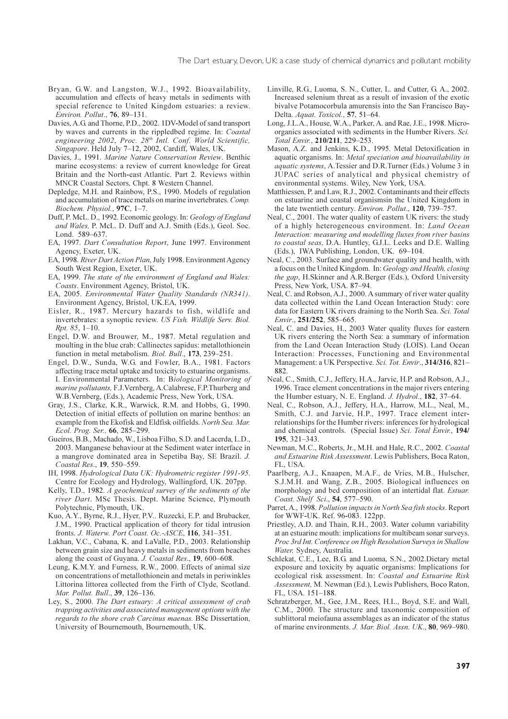- Bryan, G.W. and Langston, W.J., 1992. Bioavailability, accumulation and effects of heavy metals in sediments with special reference to United Kingdom estuaries: a review. Environ. Pollut., 76, 89-131.
- Davies, A.G. and Thorne, P.D., 2002. 1DV-Model of sand transport by waves and currents in the rippledbed regime. In: Coastal engineering 2002, Proc. 28<sup>th</sup> Intl. Conf. World Scientific, Singapore. Held July 7-12, 2002, Cardiff, Wales, UK.
- Davies, J., 1991. Marine Nature Conservation Review. Benthic marine ecosystems: a review of current knowledge for Great Britain and the North-east Atlantic. Part 2. Reviews within MNCR Coastal Sectors, Chpt. 8 Western Channel.
- Depledge, M.H. and Rainbow, P.S., 1990. Models of regulation and accumulation of trace metals on marine invertebrates. Comp. Biochem. Physiol., 97C, 1-7.
- Duff, P. McL. D., 1992. Economic geology. In: Geology of England and Wales, P. McL. D. Duff and A.J. Smith (Eds.), Geol. Soc. Lond. 589-637.
- EA, 1997. Dart Consultation Report, June 1997. Environment Agency, Exeter, UK.
- EA, 1998. River Dart Action Plan, July 1998. Environment Agency South West Region, Exeter, UK.
- EA, 1999. The state of the environment of England and Wales: Coasts. Environment Agency, Bristol, UK.
- EA, 2005. Environmental Water Quality Standards (NR341). Environment Agency, Bristol, UK.EA, 1999.
- Eisler, R., 1987. Mercury hazards to fish, wildlife and invertebrates: a synoptic review. US Fish. Wildlife Serv. Biol. Rpt. 85, 1-10.
- Engel, D.W. and Brouwer, M., 1987. Metal regulation and moulting in the blue crab: Callinectes sapidus: metallothionein function in metal metabolism. Biol. Bull., 173, 239-251.
- Engel, D.W., Sunda, W.G. and Fowler, B.A., 1981. Factors affecting trace metal uptake and toxicity to estuarine organisms. I. Environmental Parameters. In: Biological Monitoring of marine pollutants, F.J.Vernberg, A.Calabrese, F.P.Thurberg and W.B.Vernberg, (Eds.), Academic Press, New York, USA.
- Gray, J.S., Clarke, K.R., Warwick, R.M. and Hobbs, G., 1990. Detection of initial effects of pollution on marine benthos: an example from the Ekofisk and Eldfisk oilfields. North Sea. Mar. Ecol. Prog. Ser., 66, 285–299.
- Gueiros, B.B., Machado, W., Lisboa Filho, S.D. and Lacerda, L.D., 2003. Manganese behaviour at the Sediment water interface in a mangrove dominated area in Sepetiba Bay, SE Brazil. J. Coastal Res., 19, 550-559.
- IH, 1998. Hydrological Data UK: Hydrometric register 1991-95. Centre for Ecology and Hydrology, Wallingford, UK. 207pp.
- Kelly, T.D., 1982. A geochemical survey of the sediments of the river Dart. MSc Thesis. Dept. Marine Science, Plymouth Polytechnic, Plymouth, UK.
- Kuo, A.Y., Byrne, R.J., Hyer, P.V.. Ruzecki, E.P. and Brubacker, J.M., 1990. Practical application of theory for tidal intrusion fronts. J. Waterw. Port Coast. Oc.-ASCE, 116, 341-351.
- Lakhan, V.C., Cabana, K. and LaValle, P.D., 2003. Relationship between grain size and heavy metals in sediments from beaches along the coast of Guyana. J. Coastal Res., 19, 600-608.
- Leung, K.M.Y. and Furness, R.W., 2000. Effects of animal size on concentrations of metallothionein and metals in periwinkles Littorina littorea collected from the Firth of Clyde, Scotland. Mar. Pollut. Bull., 39, 126-136.
- Ley, S., 2000. The Dart estuary: A critical assessment of crab trapping activities and associated management options with the regards to the shore crab Carcinus maenas. BSc Dissertation, University of Bournemouth, Bournemouth, UK.
- Linville, R.G., Luoma, S. N., Cutter, L. and Cutter, G. A., 2002. Increased selenium threat as a result of invasion of the exotic bivalve Potamocorbula amurensis into the San Francisco Bay-Delta. Aquat. Toxicol., 57, 51–64.
- Long, J.L.A., House, W.A., Parker, A. and Rae, J.E., 1998. Microorganics associated with sediments in the Humber Rivers. Sci. Total Envir., 210/211, 229-253.
- Mason, A.Z. and Jenkins, K.D., 1995. Metal Detoxification in aquatic organisms. In: Metal speciation and bioavailability in aquatic systems, A.Tessier and D.R.Turner (Eds.) Volume 3 in JUPAC series of analytical and physical chemistry of environmental systems. Wiley, New York, USA.
- Matthiessen, P. and Law, R.J., 2002. Contaminants and their effects on estuarine and coastal organismsin the United Kingdom in the late twentieth century. Environ. Pollut., 120, 739-757.
- Neal, C., 2001. The water quality of eastern UK rivers: the study of a highly heterogeneous environment. In: Land Ocean Interaction: measuring and modelling fluxes from river basins to coastal seas, D.A. Huntley, G.J.L. Leeks and D.E. Walling (Eds.), IWA Publishing, London, UK. 69-104.
- Neal, C., 2003. Surface and groundwater quality and health, with a focus on the United Kingdom. In: Geology and Health, closing the gap, H.Skinner and A.R.Berger (Eds.), Oxford University Press, New York, USA. 87-94.
- Neal, C. and Robson, A.J., 2000. A summary of river water quality data collected within the Land Ocean Interaction Study: core data for Eastern UK rivers draining to the North Sea. Sci. Total Envir., 251/252, 585-665.
- Neal, C. and Davies, H., 2003 Water quality fluxes for eastern UK rivers entering the North Sea: a summary of information from the Land Ocean Interaction Study (LOIS). Land Ocean Interaction: Processes, Functioning and Environmental Management: a UK Perspective. Sci. Tot. Envir., 314/316, 821-882.
- Neal, C., Smith, C.J., Jeffery, H.A., Jarvie, H.P. and Robson, A.J., 1996. Trace element concentrations in the major rivers entering the Humber estuary, N. E. England. J. Hydrol., 182, 37-64.
- Neal, C., Robson, A.J., Jeffery, H.A., Harrow, M.L., Neal, M., Smith, C.J. and Jarvie, H.P., 1997. Trace element interrelationships for the Humber rivers: inferences for hydrological and chemical controls. (Special Issue) Sci. Total Envir., 194/  $195.321 - 343.$
- Newman, M.C., Roberts, Jr., M.H. and Hale, R.C., 2002. Coastal and Estuarine Risk Assessment. Lewis Publishers, Boca Raton, FL USA
- Paarlberg, A.J., Knaapen, M.A.F., de Vries, M.B., Hulscher, S.J.M.H. and Wang, Z.B., 2005. Biological influences on morphology and bed composition of an intertidal flat. Estuar. Coast. Shelf Sci., 54, 577-590.
- Parret, A., 1998. Pollution impacts in North Sea fish stocks. Report for WWF-UK. Ref. 96-083. 122pp.
- Priestley, A.D. and Thain, R.H., 2003. Water column variability at an estuarine mouth: implications for multibeam sonar surveys. Proc 3rd Int. Conference on High Resolution Surveys in Shallow Water, Sydney, Australia.
- Schlekat, C.E., Lee, B.G. and Luoma, S.N., 2002. Dietary metal exposure and toxicity by aquatic organisms: Implications for ecological risk assessment. In: Coastal and Estuarine Risk Assessment, M. Newman (Ed.), Lewis Publishers, Boco Raton, FL, USA. 151-188.
- Schratzberger, M., Gee, J.M., Rees, H.L., Boyd, S.E. and Wall, C.M., 2000. The structure and taxonomic composition of sublittoral meiofauna assemblages as an indicator of the status of marine environments. J. Mar. Biol. Assn. UK., 80, 969-980.